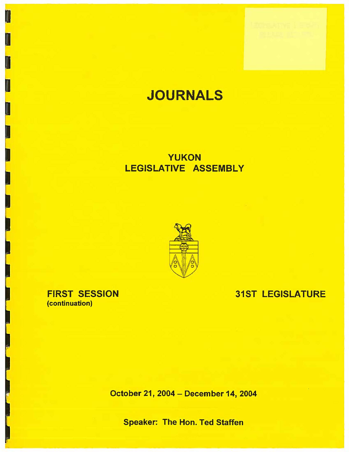# **JOURNALS**

## YUKON LEGISLATIVE ASSEMBLY



## FIRST SESSION (continuation)

I

## 31ST LEGISLATURE

October 21, 2004 - December 14, 2004

Speaker: The Hon. Ted Staffen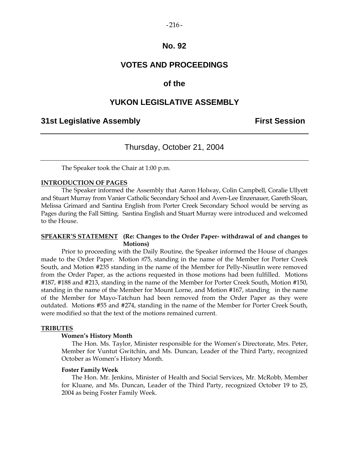# $-216-$

## **No. 92**

## **VOTES AND PROCEEDINGS**

## **of the**

## **YUKON LEGISLATIVE ASSEMBLY**

## **31st Legislative Assembly First Session**

## Thursday, October 21, 2004

The Speaker took the Chair at 1:00 p.m.

#### **INTRODUCTION OF PAGES**

 The Speaker informed the Assembly that Aaron Holway, Colin Campbell, Coralie Ullyett and Stuart Murray from Vanier Catholic Secondary School and Aven-Lee Enzenauer, Gareth Sloan, Melissa Grimard and Santina English from Porter Creek Secondary School would be serving as Pages during the Fall Sitting. Santina English and Stuart Murray were introduced and welcomed to the House.

### **SPEAKER'S STATEMENT (Re: Changes to the Order Paper- withdrawal of and changes to Motions)**

 Prior to proceeding with the Daily Routine, the Speaker informed the House of changes made to the Order Paper. Motion #75, standing in the name of the Member for Porter Creek South, and Motion #235 standing in the name of the Member for Pelly-Nisutlin were removed from the Order Paper, as the actions requested in those motions had been fulfilled. Motions #187, #188 and #213, standing in the name of the Member for Porter Creek South, Motion #150, standing in the name of the Member for Mount Lorne, and Motion #167, standing in the name of the Member for Mayo-Tatchun had been removed from the Order Paper as they were outdated. Motions #55 and #274, standing in the name of the Member for Porter Creek South, were modified so that the text of the motions remained current.

#### **TRIBUTES**

#### **Women's History Month**

 The Hon. Ms. Taylor, Minister responsible for the Women's Directorate, Mrs. Peter, Member for Vuntut Gwitchin, and Ms. Duncan, Leader of the Third Party, recognized October as Women's History Month.

#### **Foster Family Week**

 The Hon. Mr. Jenkins, Minister of Health and Social Services, Mr. McRobb, Member for Kluane, and Ms. Duncan, Leader of the Third Party, recognized October 19 to 25, 2004 as being Foster Family Week.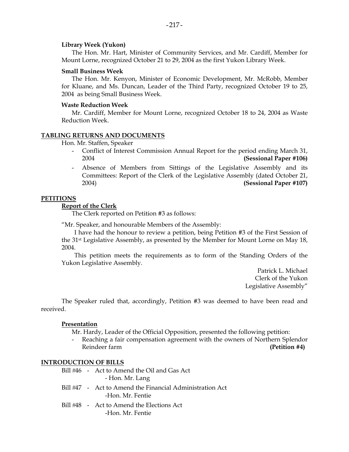#### **Library Week (Yukon)**

 The Hon. Mr. Hart, Minister of Community Services, and Mr. Cardiff, Member for Mount Lorne, recognized October 21 to 29, 2004 as the first Yukon Library Week.

#### **Small Business Week**

 The Hon. Mr. Kenyon, Minister of Economic Development, Mr. McRobb, Member for Kluane, and Ms. Duncan, Leader of the Third Party, recognized October 19 to 25, 2004 as being Small Business Week.

#### **Waste Reduction Week**

 Mr. Cardiff, Member for Mount Lorne, recognized October 18 to 24, 2004 as Waste Reduction Week.

## **TABLING RETURNS AND DOCUMENTS**

Hon. Mr. Staffen, Speaker

- Conflict of Interest Commission Annual Report for the period ending March 31, 2004 **(Sessional Paper #106)**
- Absence of Members from Sittings of the Legislative Assembly and its Committees: Report of the Clerk of the Legislative Assembly (dated October 21, 2004) **(Sessional Paper #107)**

#### **PETITIONS**

#### **Report of the Clerk**

The Clerk reported on Petition #3 as follows:

"Mr. Speaker, and honourable Members of the Assembly:

 I have had the honour to review a petition, being Petition #3 of the First Session of the 31st Legislative Assembly, as presented by the Member for Mount Lorne on May 18, 2004.

 This petition meets the requirements as to form of the Standing Orders of the Yukon Legislative Assembly.

> Patrick L. Michael Clerk of the Yukon Legislative Assembly"

 The Speaker ruled that, accordingly, Petition #3 was deemed to have been read and received.

### **Presentation**

Mr. Hardy, Leader of the Official Opposition, presented the following petition:

Reaching a fair compensation agreement with the owners of Northern Splendor Reindeer farm **(Petition #4) (Petition #4)** 

### **INTRODUCTION OF BILLS**

- Bill #46 Act to Amend the Oil and Gas Act - Hon. Mr. Lang
- Bill #47 Act to Amend the Financial Administration Act -Hon. Mr. Fentie
- Bill #48 Act to Amend the Elections Act -Hon. Mr. Fentie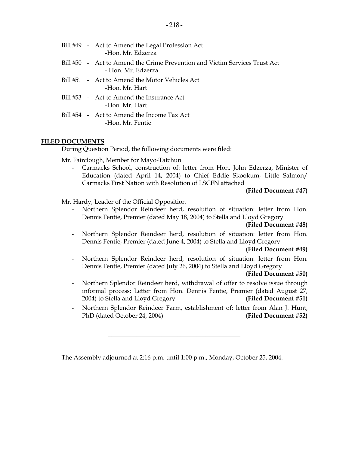|  | Bill #49 - Act to Amend the Legal Profession Act<br>-Hon, Mr. Edzerza                            |
|--|--------------------------------------------------------------------------------------------------|
|  | Bill #50 - Act to Amend the Crime Prevention and Victim Services Trust Act<br>- Hon, Mr. Edzerza |
|  | Bill #51 - Act to Amend the Motor Vehicles Act<br>-Hon. Mr. Hart                                 |
|  | Bill #53 - Act to Amend the Insurance Act<br>-Hon. Mr. Hart                                      |
|  | Bill #54 - Act to Amend the Income Tax Act<br>-Hon, Mr. Fentie                                   |

## **FILED DOCUMENTS**

During Question Period, the following documents were filed:

Mr. Fairclough, Member for Mayo-Tatchun

Carmacks School, construction of: letter from Hon. John Edzerza, Minister of Education (dated April 14, 2004) to Chief Eddie Skookum, Little Salmon/ Carmacks First Nation with Resolution of LSCFN attached

## **(Filed Document #47)**

Mr. Hardy, Leader of the Official Opposition

 - Northern Splendor Reindeer herd, resolution of situation: letter from Hon. Dennis Fentie, Premier (dated May 18, 2004) to Stella and Lloyd Gregory

## **(Filed Document #48)**

Northern Splendor Reindeer herd, resolution of situation: letter from Hon. Dennis Fentie, Premier (dated June 4, 2004) to Stella and Lloyd Gregory

#### **(Filed Document #49)**

Northern Splendor Reindeer herd, resolution of situation: letter from Hon. Dennis Fentie, Premier (dated July 26, 2004) to Stella and Lloyd Gregory

### **(Filed Document #50)**

- Northern Splendor Reindeer herd, withdrawal of offer to resolve issue through informal process: Letter from Hon. Dennis Fentie, Premier (dated August 27, 2004) to Stella and Lloyd Gregory **(Filed Document #51)**
- Northern Splendor Reindeer Farm, establishment of: letter from Alan J. Hunt, PhD (dated October 24, 2004) **(Filed Document #52)**

The Assembly adjourned at 2:16 p.m. until 1:00 p.m., Monday, October 25, 2004.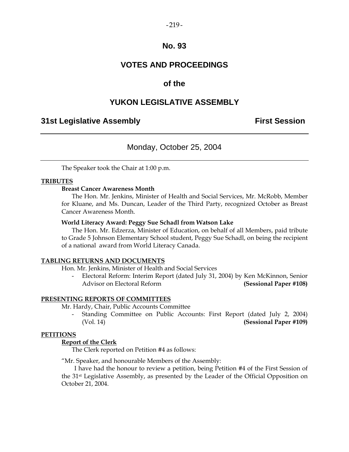## $-219-$

## **No. 93**

## **VOTES AND PROCEEDINGS**

## **of the**

## **YUKON LEGISLATIVE ASSEMBLY**

## **31st Legislative Assembly First Session**

## Monday, October 25, 2004

The Speaker took the Chair at 1:00 p.m.

## **TRIBUTES**

## **Breast Cancer Awareness Month**

 The Hon. Mr. Jenkins, Minister of Health and Social Services, Mr. McRobb, Member for Kluane, and Ms. Duncan, Leader of the Third Party, recognized October as Breast Cancer Awareness Month.

## **World Literacy Award: Peggy Sue Schadl from Watson Lake**

 The Hon. Mr. Edzerza, Minister of Education, on behalf of all Members, paid tribute to Grade 5 Johnson Elementary School student, Peggy Sue Schadl, on being the recipient of a national award from World Literacy Canada.

### **TABLING RETURNS AND DOCUMENTS**

Hon. Mr. Jenkins, Minister of Health and Social Services

 - Electoral Reform: Interim Report (dated July 31, 2004) by Ken McKinnon, Senior Advisor on Electoral Reform **(Sessional Paper #108)** 

## **PRESENTING REPORTS OF COMMITTEES**

Mr. Hardy, Chair, Public Accounts Committee

 - Standing Committee on Public Accounts: First Report (dated July 2, 2004) (Vol. 14) **(Sessional Paper #109)** 

### **PETITIONS**

## **Report of the Clerk**

The Clerk reported on Petition #4 as follows:

"Mr. Speaker, and honourable Members of the Assembly:

 I have had the honour to review a petition, being Petition #4 of the First Session of the 31st Legislative Assembly, as presented by the Leader of the Official Opposition on October 21, 2004.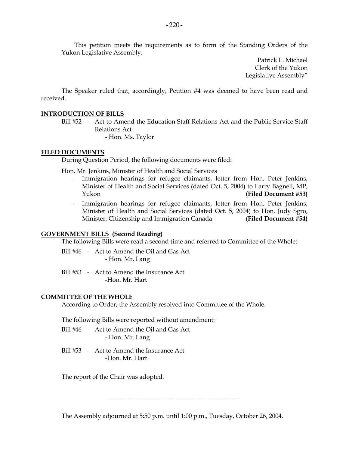This petition meets the requirements as to form of the Standing Orders of the Yukon Legislative Assembly.

> Patrick L. Michael Clerk of the Yukon Legislative Assembly"

 The Speaker ruled that, accordingly, Petition #4 was deemed to have been read and received.

### **INTRODUCTION OF BILLS**

Bill #52 - Act to Amend the Education Staff Relations Act and the Public Service Staff Relations Act

- Hon. Ms. Taylor

### **FILED DOCUMENTS**

During Question Period, the following documents were filed:

Hon. Mr. Jenkins, Minister of Health and Social Services

- Immigration hearings for refugee claimants, letter from Hon. Peter Jenkins, Minister of Health and Social Services (dated Oct. 5, 2004) to Larry Bagnell, MP, Yukon **(Filed Document #53)**
- Immigration hearings for refugee claimants, letter from Hon. Peter Jenkins, Minister of Health and Social Services (dated Oct. 5, 2004) to Hon. Judy Sgro, Minister, Citizenship and Immigration Canada **(Filed Document #54)**

## **GOVERNMENT BILLS (Second Reading)**

The following Bills were read a second time and referred to Committee of the Whole:

Bill #46 - Act to Amend the Oil and Gas Act - Hon. Mr. Lang

Bill #53 - Act to Amend the Insurance Act -Hon. Mr. Hart

### **COMMITTEE OF THE WHOLE**

According to Order, the Assembly resolved into Committee of the Whole.

The following Bills were reported without amendment:

- Bill #46 Act to Amend the Oil and Gas Act - Hon. Mr. Lang
- Bill #53 Act to Amend the Insurance Act -Hon. Mr. Hart

The report of the Chair was adopted.

The Assembly adjourned at 5:50 p.m. until 1:00 p.m., Tuesday, October 26, 2004.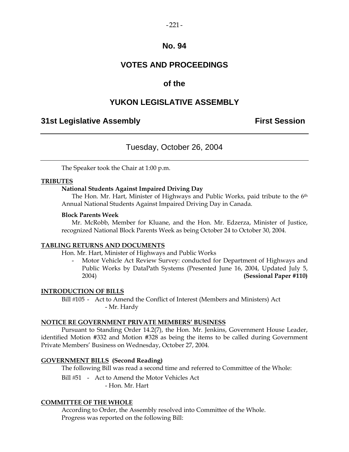## $-221-$

## **No. 94**

## **VOTES AND PROCEEDINGS**

## **of the**

## **YUKON LEGISLATIVE ASSEMBLY**

## **31st Legislative Assembly First Session**

## Tuesday, October 26, 2004

The Speaker took the Chair at 1:00 p.m.

## **TRIBUTES**

## **National Students Against Impaired Driving Day**

 The Hon. Mr. Hart, Minister of Highways and Public Works, paid tribute to the 6th Annual National Students Against Impaired Driving Day in Canada.

### **Block Parents Week**

 Mr. McRobb, Member for Kluane, and the Hon. Mr. Edzerza, Minister of Justice, recognized National Block Parents Week as being October 24 to October 30, 2004.

### **TABLING RETURNS AND DOCUMENTS**

Hon. Mr. Hart, Minister of Highways and Public Works

Motor Vehicle Act Review Survey: conducted for Department of Highways and Public Works by DataPath Systems (Presented June 16, 2004, Updated July 5, 2004) **(Sessional Paper #110)** 

### **INTRODUCTION OF BILLS**

 Bill 105 - Act to Amend the Conflict of Interest (Members and Ministers) Act - Mr. Hardy

### **NOTICE RE GOVERNMENT PRIVATE MEMBERS' BUSINESS**

 Pursuant to Standing Order 14.2(7), the Hon. Mr. Jenkins, Government House Leader, identified Motion #332 and Motion #328 as being the items to be called during Government Private Members' Business on Wednesday, October 27, 2004.

## **GOVERNMENT BILLS (Second Reading)**

The following Bill was read a second time and referred to Committee of the Whole:

Bill #51 - Act to Amend the Motor Vehicles Act - Hon. Mr. Hart

### **COMMITTEE OF THE WHOLE**

 According to Order, the Assembly resolved into Committee of the Whole. Progress was reported on the following Bill: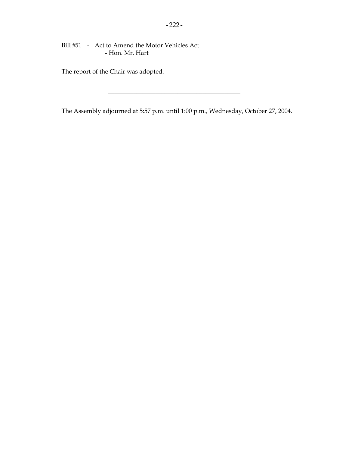Bill #51 - Act to Amend the Motor Vehicles Act - Hon. Mr. Hart

The report of the Chair was adopted.

The Assembly adjourned at 5:57 p.m. until 1:00 p.m., Wednesday, October 27, 2004.

 $\mathcal{L}_\text{max}$  , we have the set of the set of the set of the set of the set of the set of the set of the set of the set of the set of the set of the set of the set of the set of the set of the set of the set of the set of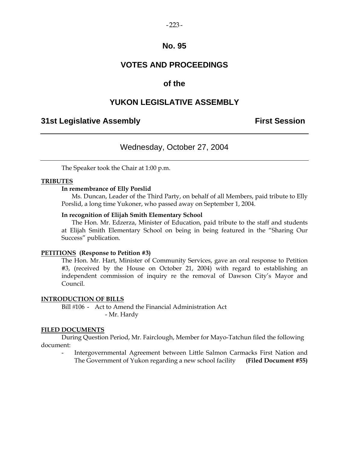## **No. 95**

## **VOTES AND PROCEEDINGS**

## **of the**

## **YUKON LEGISLATIVE ASSEMBLY**

## **31st Legislative Assembly First Session**

## Wednesday, October 27, 2004

The Speaker took the Chair at 1:00 p.m.

### **TRIBUTES**

## **In remembrance of Elly Porslid**

 Ms. Duncan, Leader of the Third Party, on behalf of all Members, paid tribute to Elly Porslid, a long time Yukoner, who passed away on September 1, 2004.

### **In recognition of Elijah Smith Elementary School**

 The Hon. Mr. Edzerza, Minister of Education, paid tribute to the staff and students at Elijah Smith Elementary School on being in being featured in the "Sharing Our Success" publication.

### **PETITIONS (Response to Petition #3)**

The Hon. Mr. Hart, Minister of Community Services, gave an oral response to Petition #3, (received by the House on October 21, 2004) with regard to establishing an independent commission of inquiry re the removal of Dawson City's Mayor and Council.

#### **INTRODUCTION OF BILLS**

Bill #106 - Act to Amend the Financial Administration Act - Mr. Hardy

#### **FILED DOCUMENTS**

 During Question Period, Mr. Fairclough, Member for Mayo-Tatchun filed the following document:

 - Intergovernmental Agreement between Little Salmon Carmacks First Nation and The Government of Yukon regarding a new school facility **(Filed Document #55)**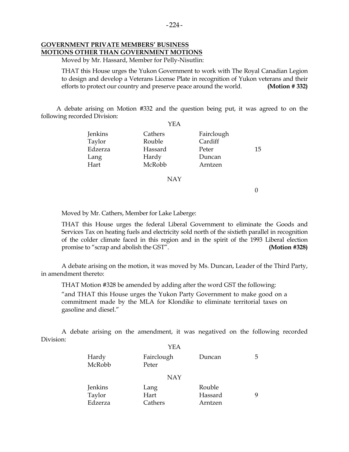## **GOVERNMENT PRIVATE MEMBERS' BUSINESS MOTIONS OTHER THAN GOVERNMENT MOTIONS**

Moved by Mr. Hassard, Member for Pelly-Nisutlin:

 THAT this House urges the Yukon Government to work with The Royal Canadian Legion to design and develop a Veterans License Plate in recognition of Yukon veterans and their efforts to protect our country and preserve peace around the world. **(Motion # 332)** 

 A debate arising on Motion #332 and the question being put, it was agreed to on the following recorded Division:  $V\mathbf{E}$   $\Lambda$ 

|         | I EA    |            |    |
|---------|---------|------------|----|
| Jenkins | Cathers | Fairclough |    |
| Taylor  | Rouble  | Cardiff    |    |
| Edzerza | Hassard | Peter      | 15 |
| Lang    | Hardy   | Duncan     |    |
| Hart    | McRobb  | Arntzen    |    |
|         |         |            |    |

NAY

 $\Omega$ 

Moved by Mr. Cathers, Member for Lake Laberge:

 THAT this House urges the federal Liberal Government to eliminate the Goods and Services Tax on heating fuels and electricity sold north of the sixtieth parallel in recognition of the colder climate faced in this region and in the spirit of the 1993 Liberal election promise to "scrap and abolish the GST". **(Motion #328)** 

 A debate arising on the motion, it was moved by Ms. Duncan, Leader of the Third Party, in amendment thereto:

THAT Motion #328 be amended by adding after the word GST the following:

 "and THAT this House urges the Yukon Party Government to make good on a commitment made by the MLA for Klondike to eliminate territorial taxes on gasoline and diesel."

 A debate arising on the amendment, it was negatived on the following recorded Division:  $Y<sub>E</sub>$ 

|                              | I EA                    |                              |   |  |
|------------------------------|-------------------------|------------------------------|---|--|
| Hardy<br>McRobb              | Fairclough<br>Peter     | Duncan                       | 5 |  |
|                              | <b>NAY</b>              |                              |   |  |
| Jenkins<br>Taylor<br>Edzerza | Lang<br>Hart<br>Cathers | Rouble<br>Hassard<br>Arntzen | 9 |  |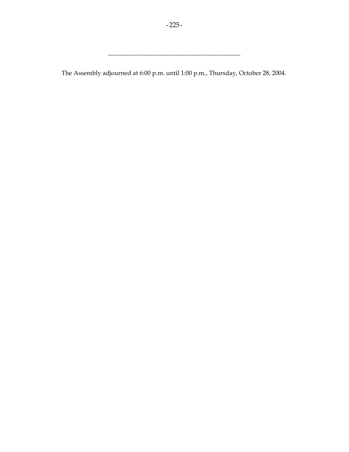The Assembly adjourned at 6:00 p.m. until 1:00 p.m., Thursday, October 28, 2004.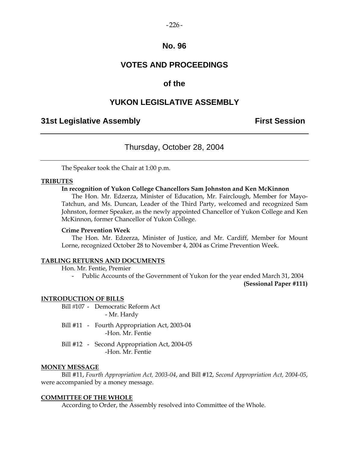#### $-226-$

## **No. 96**

## **VOTES AND PROCEEDINGS**

## **of the**

## **YUKON LEGISLATIVE ASSEMBLY**

## **31st Legislative Assembly First Session**

## Thursday, October 28, 2004

The Speaker took the Chair at 1:00 p.m.

### **TRIBUTES**

## **In recognition of Yukon College Chancellors Sam Johnston and Ken McKinnon**

 The Hon. Mr. Edzerza, Minister of Education, Mr. Fairclough, Member for Mayo-Tatchun, and Ms. Duncan, Leader of the Third Party, welcomed and recognized Sam Johnston, former Speaker, as the newly appointed Chancellor of Yukon College and Ken McKinnon, former Chancellor of Yukon College.

#### **Crime Prevention Week**

 The Hon. Mr. Edzerza, Minister of Justice, and Mr. Cardiff, Member for Mount Lorne, recognized October 28 to November 4, 2004 as Crime Prevention Week.

#### **TABLING RETURNS AND DOCUMENTS**

Hon. Mr. Fentie, Premier

- Public Accounts of the Government of Yukon for the year ended March 31, 2004

**(Sessional Paper #111)** 

#### **INTRODUCTION OF BILLS**

Bill #107 - Democratic Reform Act - Mr. Hardy

- Bill #11 Fourth Appropriation Act, 2003-04 -Hon. Mr. Fentie
- Bill #12 Second Appropriation Act, 2004-05 -Hon. Mr. Fentie

#### **MONEY MESSAGE**

 Bill #11, *Fourth Appropriation Act, 2003-04*, and Bill #12, *Second Appropriation Act, 2004-05*, were accompanied by a money message.

### **COMMITTEE OF THE WHOLE**

According to Order, the Assembly resolved into Committee of the Whole.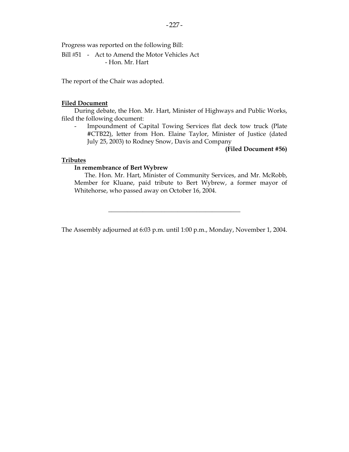Progress was reported on the following Bill:

Bill #51 - Act to Amend the Motor Vehicles Act - Hon. Mr. Hart

The report of the Chair was adopted.

## **Filed Document**

 During debate, the Hon. Mr. Hart, Minister of Highways and Public Works, filed the following document:

Impoundment of Capital Towing Services flat deck tow truck (Plate #CTB22), letter from Hon. Elaine Taylor, Minister of Justice (dated July 25, 2003) to Rodney Snow, Davis and Company

#### **(Filed Document #56)**

## **Tributes**

#### **In remembrance of Bert Wybrew**

 The. Hon. Mr. Hart, Minister of Community Services, and Mr. McRobb, Member for Kluane, paid tribute to Bert Wybrew, a former mayor of Whitehorse, who passed away on October 16, 2004.

The Assembly adjourned at 6:03 p.m. until 1:00 p.m., Monday, November 1, 2004.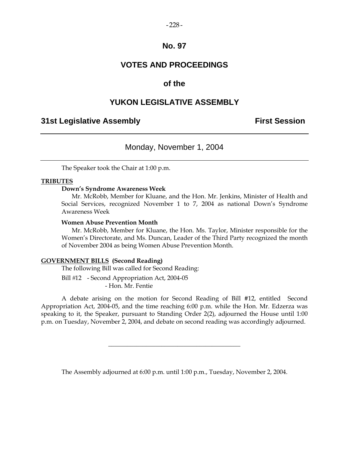#### $-228-$

## **No. 97**

## **VOTES AND PROCEEDINGS**

## **of the**

## **YUKON LEGISLATIVE ASSEMBLY**

## **31st Legislative Assembly First Session**

## Monday, November 1, 2004

The Speaker took the Chair at 1:00 p.m.

#### **TRIBUTES**

## **Down's Syndrome Awareness Week**

 Mr. McRobb, Member for Kluane, and the Hon. Mr. Jenkins, Minister of Health and Social Services, recognized November 1 to 7, 2004 as national Down's Syndrome Awareness Week

#### **Women Abuse Prevention Month**

 Mr. McRobb, Member for Kluane, the Hon. Ms. Taylor, Minister responsible for the Women's Directorate, and Ms. Duncan, Leader of the Third Party recognized the month of November 2004 as being Women Abuse Prevention Month.

#### **GOVERNMENT BILLS (Second Reading)**

The following Bill was called for Second Reading:

Bill #12 - Second Appropriation Act, 2004-05 - Hon. Mr. Fentie

 A debate arising on the motion for Second Reading of Bill #12, entitled Second Appropriation Act, 2004-05, and the time reaching 6:00 p.m. while the Hon. Mr. Edzerza was speaking to it, the Speaker, pursuant to Standing Order 2(2), adjourned the House until 1:00 p.m. on Tuesday, November 2, 2004, and debate on second reading was accordingly adjourned.

The Assembly adjourned at 6:00 p.m. until 1:00 p.m., Tuesday, November 2, 2004.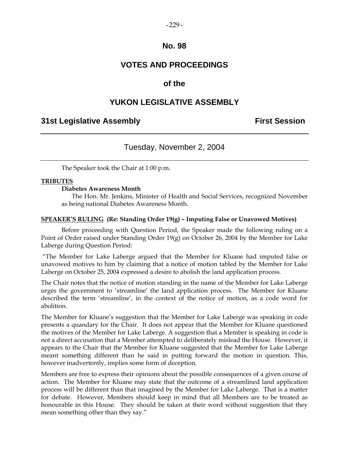#### $-229-$

## **No. 98**

## **VOTES AND PROCEEDINGS**

## **of the**

## **YUKON LEGISLATIVE ASSEMBLY**

## **31st Legislative Assembly First Session**

## Tuesday, November 2, 2004

The Speaker took the Chair at 1:00 p.m.

### **TRIBUTES**

#### **Diabetes Awareness Month**

 The Hon. Mr. Jenkins, Minister of Health and Social Services, recognized November as being national Diabetes Awareness Month.

#### **SPEAKER'S RULING (Re: Standing Order 19(g) – Imputing False or Unavowed Motives)**

 Before proceeding with Question Period, the Speaker made the following ruling on a Point of Order raised under Standing Order 19(g) on October 26, 2004 by the Member for Lake Laberge during Question Period:

 "The Member for Lake Laberge argued that the Member for Kluane had imputed false or unavowed motives to him by claiming that a notice of motion tabled by the Member for Lake Laberge on October 25, 2004 expressed a desire to abolish the land application process.

The Chair notes that the notice of motion standing in the name of the Member for Lake Laberge urges the government to 'streamline' the land application process. The Member for Kluane described the term 'streamline', in the context of the notice of motion, as a code word for abolition.

The Member for Kluane's suggestion that the Member for Lake Laberge was speaking in code presents a quandary for the Chair. It does not appear that the Member for Kluane questioned the motives of the Member for Lake Laberge. A suggestion that a Member is speaking in code is not a direct accusation that a Member attempted to deliberately mislead the House. However, it appears to the Chair that the Member for Kluane suggested that the Member for Lake Laberge meant something different than he said in putting forward the motion in question. This, however inadvertently, implies some form of deception.

Members are free to express their opinions about the possible consequences of a given course of action. The Member for Kluane may state that the outcome of a streamlined land application process will be different than that imagined by the Member for Lake Laberge. That is a matter for debate. However, Members should keep in mind that all Members are to be treated as honourable in this House. They should be taken at their word without suggestion that they mean something other than they say."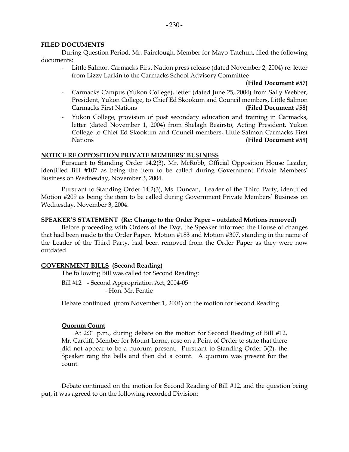### **FILED DOCUMENTS**

 During Question Period, Mr. Fairclough, Member for Mayo-Tatchun, filed the following documents:

 - Little Salmon Carmacks First Nation press release (dated November 2, 2004) re: letter from Lizzy Larkin to the Carmacks School Advisory Committee

#### **(Filed Document #57)**

- Carmacks Campus (Yukon College), letter (dated June 25, 2004) from Sally Webber, President, Yukon College, to Chief Ed Skookum and Council members, Little Salmon Carmacks First Nations **(Filed Document #58)**
- Yukon College, provision of post secondary education and training in Carmacks, letter (dated November 1, 2004) from Shelagh Beairsto, Acting President, Yukon College to Chief Ed Skookum and Council members, Little Salmon Carmacks First Nations **(Filed Document #59)**

### **NOTICE RE OPPOSITION PRIVATE MEMBERS' BUSINESS**

 Pursuant to Standing Order 14.2(3), Mr. McRobb, Official Opposition House Leader, identified Bill #107 as being the item to be called during Government Private Members' Business on Wednesday, November 3, 2004.

 Pursuant to Standing Order 14.2(3), Ms. Duncan, Leader of the Third Party, identified Motion #209 as being the item to be called during Government Private Members' Business on Wednesday, November 3, 2004.

#### **SPEAKER'S STATEMENT (Re: Change to the Order Paper – outdated Motions removed)**

 Before proceeding with Orders of the Day, the Speaker informed the House of changes that had been made to the Order Paper. Motion #183 and Motion #307, standing in the name of the Leader of the Third Party, had been removed from the Order Paper as they were now outdated.

### **GOVERNMENT BILLS (Second Reading)**

The following Bill was called for Second Reading:

Bill #12 - Second Appropriation Act, 2004-05 - Hon. Mr. Fentie

Debate continued (from November 1, 2004) on the motion for Second Reading.

### **Quorum Count**

 At 2:31 p.m., during debate on the motion for Second Reading of Bill #12, Mr. Cardiff, Member for Mount Lorne, rose on a Point of Order to state that there did not appear to be a quorum present. Pursuant to Standing Order 3(2), the Speaker rang the bells and then did a count. A quorum was present for the count.

 Debate continued on the motion for Second Reading of Bill #12, and the question being put, it was agreed to on the following recorded Division: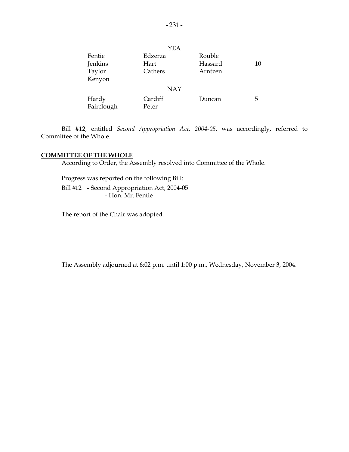|            | YEA        |         |    |
|------------|------------|---------|----|
| Fentie     | Edzerza    | Rouble  |    |
| Jenkins    | Hart       | Hassard | 10 |
| Taylor     | Cathers    | Arntzen |    |
| Kenyon     |            |         |    |
|            | <b>NAY</b> |         |    |
| Hardy      | Cardiff    | Duncan  | 5  |
| Fairclough | Peter      |         |    |

 Bill #12, entitled *Second Appropriation Act, 2004-05*, was accordingly, referred to Committee of the Whole.

#### **COMMITTEE OF THE WHOLE**

According to Order, the Assembly resolved into Committee of the Whole.

Progress was reported on the following Bill:

Bill #12 - Second Appropriation Act, 2004-05 - Hon. Mr. Fentie

The report of the Chair was adopted.

The Assembly adjourned at 6:02 p.m. until 1:00 p.m., Wednesday, November 3, 2004.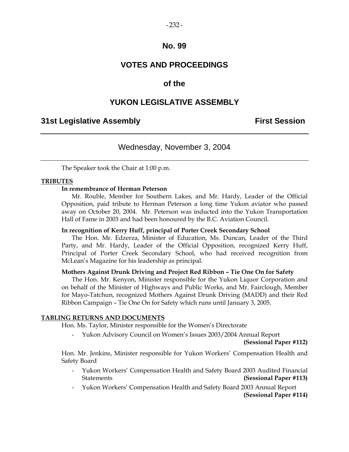## **No. 99**

## **VOTES AND PROCEEDINGS**

## **of the**

## **YUKON LEGISLATIVE ASSEMBLY**

## **31st Legislative Assembly First Session**

## Wednesday, November 3, 2004

The Speaker took the Chair at 1:00 p.m.

### **TRIBUTES**

## **In remembrance of Herman Peterson**

 Mr. Rouble, Member for Southern Lakes, and Mr. Hardy, Leader of the Official Opposition, paid tribute to Herman Peterson a long time Yukon aviator who passed away on October 20, 2004. Mr. Peterson was inducted into the Yukon Transportation Hall of Fame in 2003 and had been honoured by the B.C. Aviation Council.

#### **In recognition of Kerry Huff, principal of Porter Creek Secondary School**

 The Hon. Mr. Edzerza, Minister of Education, Ms. Duncan, Leader of the Third Party, and Mr. Hardy, Leader of the Official Opposition, recognized Kerry Huff, Principal of Porter Creek Secondary School, who had received recognition from McLean's Magazine for his leadership as principal.

#### **Mothers Against Drunk Driving and Project Red Ribbon – Tie One On for Safety**

 The Hon. Mr. Kenyon, Minister responsible for the Yukon Liquor Corporation and on behalf of the Minister of Highways and Public Works, and Mr. Fairclough, Member for Mayo-Tatchun, recognized Mothers Against Drunk Driving (MADD) and their Red Ribbon Campaign – Tie One On for Safety which runs until January 3, 2005.

#### **TABLING RETURNS AND DOCUMENTS**

Hon. Ms. Taylor, Minister responsible for the Women's Directorate

- Yukon Advisory Council on Women's Issues 2003/2004 Annual Report

**(Sessional Paper #112)**

 Hon. Mr. Jenkins, Minister responsible for Yukon Workers' Compensation Health and Safety Board

- Yukon Workers' Compensation Health and Safety Board 2003 Audited Financial Statements **(Sessional Paper #113)**
- Yukon Workers' Compensation Health and Safety Board 2003 Annual Report **(Sessional Paper #114)**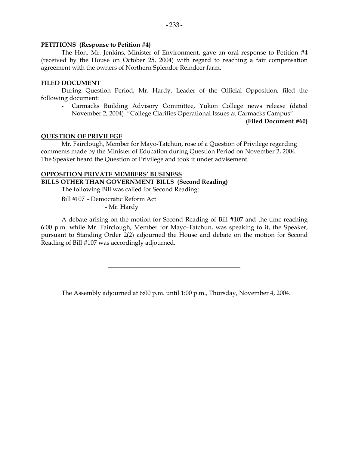## **PETITIONS (Response to Petition #4)**

 The Hon. Mr. Jenkins, Minister of Environment, gave an oral response to Petition #4 (received by the House on October 25, 2004) with regard to reaching a fair compensation agreement with the owners of Northern Splendor Reindeer farm.

## **FILED DOCUMENT**

 During Question Period, Mr. Hardy, Leader of the Official Opposition, filed the following document:

 - Carmacks Building Advisory Committee, Yukon College news release (dated November 2, 2004) "College Clarifies Operational Issues at Carmacks Campus"

**(Filed Document #60)**

## **QUESTION OF PRIVILEGE**

 Mr. Fairclough, Member for Mayo-Tatchun, rose of a Question of Privilege regarding comments made by the Minister of Education during Question Period on November 2, 2004. The Speaker heard the Question of Privilege and took it under advisement.

## **OPPOSITION PRIVATE MEMBERS' BUSINESS BILLS OTHER THAN GOVERNMENT BILLS (Second Reading)**

The following Bill was called for Second Reading:

Bill #107 - Democratic Reform Act - Mr. Hardy

 A debate arising on the motion for Second Reading of Bill #107 and the time reaching 6:00 p.m. while Mr. Fairclough, Member for Mayo-Tatchun, was speaking to it, the Speaker, pursuant to Standing Order 2(2) adjourned the House and debate on the motion for Second Reading of Bill #107 was accordingly adjourned.

The Assembly adjourned at 6:00 p.m. until 1:00 p.m., Thursday, November 4, 2004.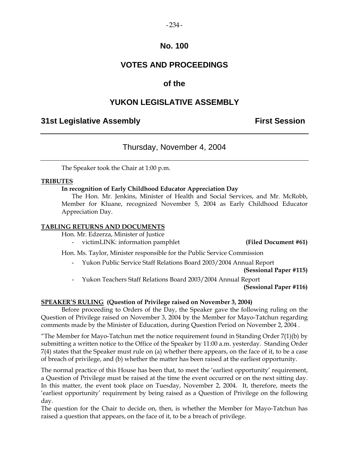## **No. 100**

## **VOTES AND PROCEEDINGS**

## **of the**

## **YUKON LEGISLATIVE ASSEMBLY**

## **31st Legislative Assembly First Session**

## Thursday, November 4, 2004

The Speaker took the Chair at 1:00 p.m.

## **TRIBUTES**

## **In recognition of Early Childhood Educator Appreciation Day**

 The Hon. Mr. Jenkins, Minister of Health and Social Services, and Mr. McRobb, Member for Kluane, recognized November 5, 2004 as Early Childhood Educator Appreciation Day.

## **TABLING RETURNS AND DOCUMENTS**

Hon. Mr. Edzerza, Minister of Justice

victimLINK: information pamphlet **(Filed Document #61)** 

Hon. Ms. Taylor, Minister responsible for the Public Service Commission

- Yukon Public Service Staff Relations Board 2003/2004 Annual Report

**(Sessional Paper #115)**

- Yukon Teachers Staff Relations Board 2003/2004 Annual Report

**(Sessional Paper #116)**

## **SPEAKER'S RULING (Question of Privilege raised on November 3, 2004)**

 Before proceeding to Orders of the Day, the Speaker gave the following ruling on the Question of Privilege raised on November 3, 2004 by the Member for Mayo-Tatchun regarding comments made by the Minister of Education, during Question Period on November 2, 2004 .

"The Member for Mayo-Tatchun met the notice requirement found in Standing Order  $7(1)(b)$  by submitting a written notice to the Office of the Speaker by 11:00 a.m. yesterday. Standing Order 7(4) states that the Speaker must rule on (a) whether there appears, on the face of it, to be a case of breach of privilege, and (b) whether the matter has been raised at the earliest opportunity.

The normal practice of this House has been that, to meet the 'earliest opportunity' requirement, a Question of Privilege must be raised at the time the event occurred or on the next sitting day. In this matter, the event took place on Tuesday, November 2, 2004. It, therefore, meets the 'earliest opportunity' requirement by being raised as a Question of Privilege on the following day.

The question for the Chair to decide on, then, is whether the Member for Mayo-Tatchun has raised a question that appears, on the face of it, to be a breach of privilege.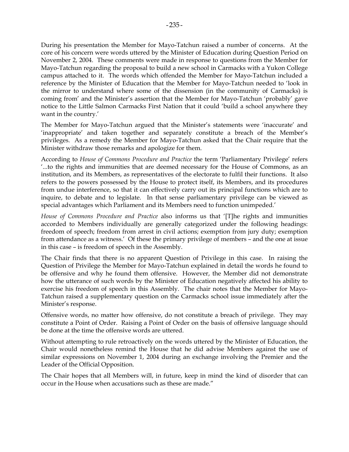During his presentation the Member for Mayo-Tatchun raised a number of concerns. At the core of his concern were words uttered by the Minister of Education during Question Period on November 2, 2004. These comments were made in response to questions from the Member for Mayo-Tatchun regarding the proposal to build a new school in Carmacks with a Yukon College campus attached to it. The words which offended the Member for Mayo-Tatchun included a reference by the Minister of Education that the Member for Mayo-Tatchun needed to 'look in the mirror to understand where some of the dissension (in the community of Carmacks) is coming from' and the Minister's assertion that the Member for Mayo-Tatchun 'probably' gave notice to the Little Salmon Carmacks First Nation that it could 'build a school anywhere they want in the country.'

The Member for Mayo-Tatchun argued that the Minister's statements were 'inaccurate' and 'inappropriate' and taken together and separately constitute a breach of the Member's privileges. As a remedy the Member for Mayo-Tatchun asked that the Chair require that the Minister withdraw those remarks and apologize for them.

According to *House of Commons Procedure and Practice* the term 'Parliamentary Privilege' refers '...to the rights and immunities that are deemed necessary for the House of Commons, as an institution, and its Members, as representatives of the electorate to fulfil their functions. It also refers to the powers possessed by the House to protect itself, its Members, and its procedures from undue interference, so that it can effectively carry out its principal functions which are to inquire, to debate and to legislate. In that sense parliamentary privilege can be viewed as special advantages which Parliament and its Members need to function unimpeded.'

*House of Commons Procedure and Practice* also informs us that '[T]he rights and immunities accorded to Members individually are generally categorized under the following headings: freedom of speech; freedom from arrest in civil actions; exemption from jury duty; exemption from attendance as a witness.' Of these the primary privilege of members – and the one at issue in this case – is freedom of speech in the Assembly.

The Chair finds that there is no apparent Question of Privilege in this case. In raising the Question of Privilege the Member for Mayo-Tatchun explained in detail the words he found to be offensive and why he found them offensive. However, the Member did not demonstrate how the utterance of such words by the Minister of Education negatively affected his ability to exercise his freedom of speech in this Assembly. The chair notes that the Member for Mayo-Tatchun raised a supplementary question on the Carmacks school issue immediately after the Minister's response.

Offensive words, no matter how offensive, do not constitute a breach of privilege. They may constitute a Point of Order. Raising a Point of Order on the basis of offensive language should be done at the time the offensive words are uttered.

Without attempting to rule retroactively on the words uttered by the Minister of Education, the Chair would nonetheless remind the House that he did advise Members against the use of similar expressions on November 1, 2004 during an exchange involving the Premier and the Leader of the Official Opposition.

The Chair hopes that all Members will, in future, keep in mind the kind of disorder that can occur in the House when accusations such as these are made."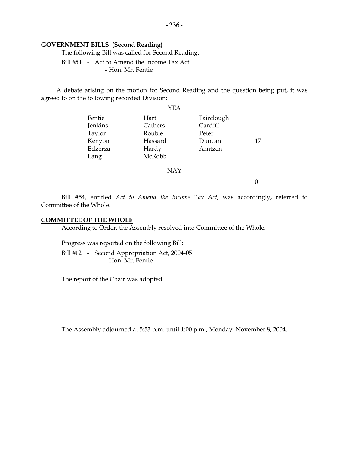#### **GOVERNMENT BILLS (Second Reading)**

The following Bill was called for Second Reading:

Bill #54 - Act to Amend the Income Tax Act - Hon. Mr. Fentie

 A debate arising on the motion for Second Reading and the question being put, it was agreed to on the following recorded Division:

|         | YEA     |            |    |
|---------|---------|------------|----|
| Fentie  | Hart    | Fairclough |    |
| Jenkins | Cathers | Cardiff    |    |
| Taylor  | Rouble  | Peter      |    |
| Kenyon  | Hassard | Duncan     | 17 |
| Edzerza | Hardy   | Arntzen    |    |
| Lang    | McRobb  |            |    |
|         |         |            |    |

NAY

0

 Bill #54, entitled *Act to Amend the Income Tax Act*, was accordingly, referred to Committee of the Whole.

## **COMMITTEE OF THE WHOLE**

According to Order, the Assembly resolved into Committee of the Whole.

Progress was reported on the following Bill:

Bill #12 - Second Appropriation Act, 2004-05 - Hon. Mr. Fentie

The report of the Chair was adopted.

The Assembly adjourned at 5:53 p.m. until 1:00 p.m., Monday, November 8, 2004.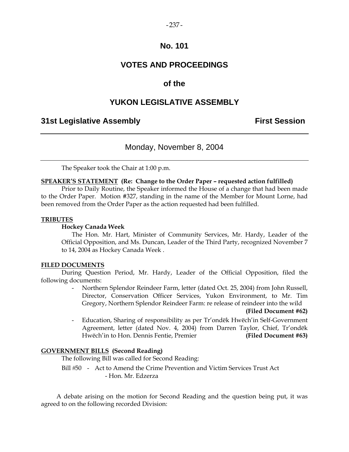### $-237-$

## **No. 101**

## **VOTES AND PROCEEDINGS**

## **of the**

## **YUKON LEGISLATIVE ASSEMBLY**

## **31st Legislative Assembly First Session**

## Monday, November 8, 2004

The Speaker took the Chair at 1:00 p.m.

#### **SPEAKER'S STATEMENT (Re: Change to the Order Paper – requested action fulfilled)**

 Prior to Daily Routine, the Speaker informed the House of a change that had been made to the Order Paper. Motion #327, standing in the name of the Member for Mount Lorne, had been removed from the Order Paper as the action requested had been fulfilled.

#### **TRIBUTES**

#### **Hockey Canada Week**

 The Hon. Mr. Hart, Minister of Community Services, Mr. Hardy, Leader of the Official Opposition, and Ms. Duncan, Leader of the Third Party, recognized November 7 to 14, 2004 as Hockey Canada Week .

### **FILED DOCUMENTS**

 During Question Period, Mr. Hardy, Leader of the Official Opposition, filed the following documents:

> - Northern Splendor Reindeer Farm, letter (dated Oct. 25, 2004) from John Russell, Director, Conservation Officer Services, Yukon Environment, to Mr. Tim Gregory, Northern Splendor Reindeer Farm: re release of reindeer into the wild

> > **(Filed Document #62)**

 - Education, Sharing of responsibility as per Tr'ondëk Hwëch'in Self-Government Agreement, letter (dated Nov. 4, 2004) from Darren Taylor, Chief, Tr'ondëk Hwëch'in to Hon. Dennis Fentie, Premier **(Filed Document #63)**

### **GOVERNMENT BILLS (Second Reading)**

The following Bill was called for Second Reading:

 Bill 50 - Act to Amend the Crime Prevention and Victim Services Trust Act - Hon. Mr. Edzerza

 A debate arising on the motion for Second Reading and the question being put, it was agreed to on the following recorded Division: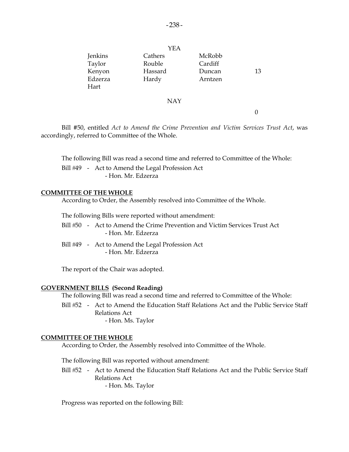|         | YEA     |         |    |
|---------|---------|---------|----|
| Jenkins | Cathers | McRobb  |    |
| Taylor  | Rouble  | Cardiff |    |
| Kenyon  | Hassard | Duncan  | 13 |
| Edzerza | Hardy   | Arntzen |    |
| Hart    |         |         |    |
|         |         |         |    |

#### NAY

0

 Bill #50, entitled *Act to Amend the Crime Prevention and Victim Services Trust Act*, was accordingly, referred to Committee of the Whole.

The following Bill was read a second time and referred to Committee of the Whole:

Bill #49 - Act to Amend the Legal Profession Act - Hon. Mr. Edzerza

#### **COMMITTEE OF THE WHOLE**

According to Order, the Assembly resolved into Committee of the Whole.

The following Bills were reported without amendment:

- Bill #50 Act to Amend the Crime Prevention and Victim Services Trust Act - Hon. Mr. Edzerza
- Bill #49 Act to Amend the Legal Profession Act - Hon. Mr. Edzerza

The report of the Chair was adopted.

#### **GOVERNMENT BILLS (Second Reading)**

The following Bill was read a second time and referred to Committee of the Whole:

Bill #52 - Act to Amend the Education Staff Relations Act and the Public Service Staff Relations Act - Hon. Ms. Taylor

#### **COMMITTEE OF THE WHOLE**

According to Order, the Assembly resolved into Committee of the Whole.

The following Bill was reported without amendment:

Bill #52 - Act to Amend the Education Staff Relations Act and the Public Service Staff Relations Act - Hon. Ms. Taylor

Progress was reported on the following Bill: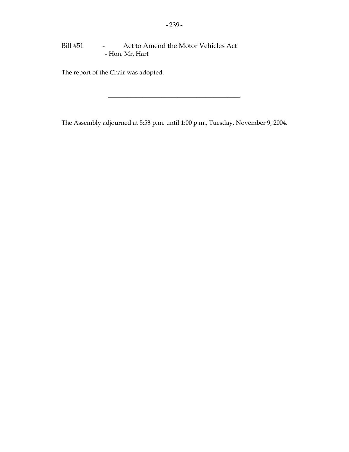## Bill #51 - Act to Amend the Motor Vehicles Act - Hon. Mr. Hart

The report of the Chair was adopted.

The Assembly adjourned at 5:53 p.m. until 1:00 p.m., Tuesday, November 9, 2004.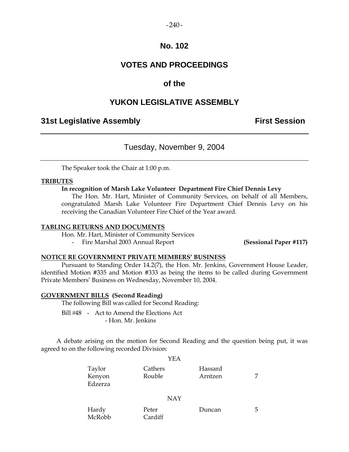#### $-240-$

## **No. 102**

## **VOTES AND PROCEEDINGS**

## **of the**

## **YUKON LEGISLATIVE ASSEMBLY**

## **31st Legislative Assembly First Session**

## Tuesday, November 9, 2004

The Speaker took the Chair at 1:00 p.m.

#### **TRIBUTES**

## **In recognition of Marsh Lake Volunteer Department Fire Chief Dennis Levy**

 The Hon. Mr. Hart, Minister of Community Services, on behalf of all Members, congratulated Marsh Lake Volunteer Fire Department Chief Dennis Levy on his receiving the Canadian Volunteer Fire Chief of the Year award.

#### **TABLING RETURNS AND DOCUMENTS**

Hon. Mr. Hart, Minister of Community Services

- Fire Marshal 2003 Annual Report **(Sessional Paper #117)** 

## **NOTICE RE GOVERNMENT PRIVATE MEMBERS' BUSINESS**

 Pursuant to Standing Order 14.2(7), the Hon. Mr. Jenkins, Government House Leader, identified Motion #335 and Motion #333 as being the items to be called during Government Private Members' Business on Wednesday, November 10, 2004.

#### **GOVERNMENT BILLS (Second Reading)**

The following Bill was called for Second Reading:

Bill #48 - Act to Amend the Elections Act - Hon. Mr. Jenkins

 A debate arising on the motion for Second Reading and the question being put, it was agreed to on the following recorded Division:

 $Y<sub>E</sub>$ 

|                             | I EA              |                    |  |
|-----------------------------|-------------------|--------------------|--|
| Taylor<br>Kenyon<br>Edzerza | Cathers<br>Rouble | Hassard<br>Arntzen |  |
|                             |                   |                    |  |

NAY

| Hardy  | Peter   | Duncan |  |
|--------|---------|--------|--|
| McRobb | Cardiff |        |  |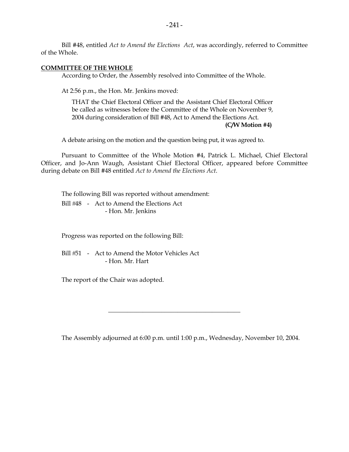Bill #48, entitled *Act to Amend the Elections Act*, was accordingly, referred to Committee of the Whole.

## **COMMITTEE OF THE WHOLE**

According to Order, the Assembly resolved into Committee of the Whole.

At 2:56 p.m., the Hon. Mr. Jenkins moved:

THAT the Chief Electoral Officer and the Assistant Chief Electoral Officer be called as witnesses before the Committee of the Whole on November 9, 2004 during consideration of Bill #48, Act to Amend the Elections Act.

**(C/W Motion #4)** 

A debate arising on the motion and the question being put, it was agreed to.

 Pursuant to Committee of the Whole Motion #4, Patrick L. Michael, Chief Electoral Officer, and Jo-Ann Waugh, Assistant Chief Electoral Officer, appeared before Committee during debate on Bill #48 entitled *Act to Amend the Elections Act*.

 The following Bill was reported without amendment: Bill #48 - Act to Amend the Elections Act - Hon. Mr. Jenkins

Progress was reported on the following Bill:

Bill #51 - Act to Amend the Motor Vehicles Act - Hon. Mr. Hart

The report of the Chair was adopted.

The Assembly adjourned at 6:00 p.m. until 1:00 p.m., Wednesday, November 10, 2004.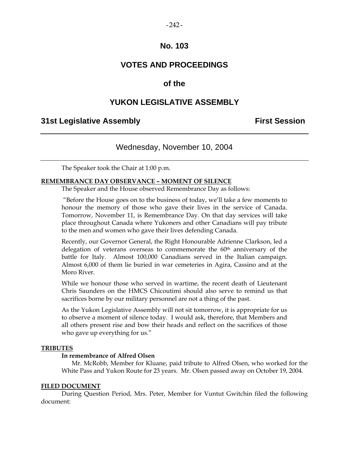## **No. 103**

## **VOTES AND PROCEEDINGS**

## **of the**

## **YUKON LEGISLATIVE ASSEMBLY**

## **31st Legislative Assembly First Session**

## Wednesday, November 10, 2004

The Speaker took the Chair at 1:00 p.m.

#### **REMEMBRANCE DAY OBSERVANCE – MOMENT OF SILENCE**

The Speaker and the House observed Remembrance Day as follows:

 "Before the House goes on to the business of today, we'll take a few moments to honour the memory of those who gave their lives in the service of Canada. Tomorrow, November 11, is Remembrance Day. On that day services will take place throughout Canada where Yukoners and other Canadians will pay tribute to the men and women who gave their lives defending Canada.

Recently, our Governor General, the Right Honourable Adrienne Clarkson, led a delegation of veterans overseas to commemorate the  $60<sup>th</sup>$  anniversary of the battle for Italy. Almost 100,000 Canadians served in the Italian campaign. Almost 6,000 of them lie buried in war cemeteries in Agira, Cassino and at the Moro River.

While we honour those who served in wartime, the recent death of Lieutenant Chris Saunders on the HMCS Chicoutimi should also serve to remind us that sacrifices borne by our military personnel are not a thing of the past.

As the Yukon Legislative Assembly will not sit tomorrow, it is appropriate for us to observe a moment of silence today. I would ask, therefore, that Members and all others present rise and bow their heads and reflect on the sacrifices of those who gave up everything for us."

### **TRIBUTES**

#### **In remembrance of Alfred Olsen**

 Mr. McRobb, Member for Kluane, paid tribute to Alfred Olsen, who worked for the White Pass and Yukon Route for 23 years. Mr. Olsen passed away on October 19, 2004.

### **FILED DOCUMENT**

 During Question Period, Mrs. Peter, Member for Vuntut Gwitchin filed the following document: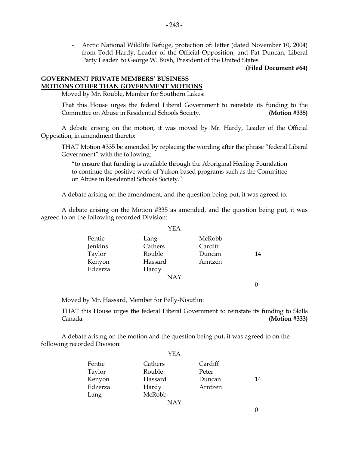- Arctic National Wildlife Refuge, protection of: letter (dated November 10, 2004) from Todd Hardy, Leader of the Official Opposition, and Pat Duncan, Liberal Party Leader to George W. Bush, President of the United States

**(Filed Document #64)** 

## **GOVERNMENT PRIVATE MEMBERS' BUSINESS MOTIONS OTHER THAN GOVERNMENT MOTIONS**

Moved by Mr. Rouble, Member for Southern Lakes:

 That this House urges the federal Liberal Government to reinstate its funding to the Committee on Abuse in Residential Schools Society. **(Motion #335)** 

 A debate arising on the motion, it was moved by Mr. Hardy, Leader of the Official Opposition, in amendment thereto:

 THAT Motion #335 be amended by replacing the wording after the phrase "federal Liberal Government" with the following:

 "to ensure that funding is available through the Aboriginal Healing Foundation to continue the positive work of Yukon-based programs such as the Committee on Abuse in Residential Schools Society."

A debate arising on the amendment, and the question being put, it was agreed to.

 A debate arising on the Motion #335 as amended, and the question being put, it was agreed to on the following recorded Division:

|         | YEA        |         |    |
|---------|------------|---------|----|
| Fentie  | Lang       | McRobb  |    |
| Jenkins | Cathers    | Cardiff |    |
| Taylor  | Rouble     | Duncan  | 14 |
| Kenyon  | Hassard    | Arntzen |    |
| Edzerza | Hardy      |         |    |
|         | <b>NAY</b> |         |    |

0

Moved by Mr. Hassard, Member for Pelly-Nisutlin:

 THAT this House urges the federal Liberal Government to reinstate its funding to Skills Canada. **(Motion #333)** 

 A debate arising on the motion and the question being put, it was agreed to on the following recorded Division:

|         | YEA        |         |    |
|---------|------------|---------|----|
| Fentie  | Cathers    | Cardiff |    |
| Taylor  | Rouble     | Peter   |    |
| Kenyon  | Hassard    | Duncan  | 14 |
| Edzerza | Hardy      | Arntzen |    |
| Lang    | McRobb     |         |    |
|         | <b>NAY</b> |         |    |

YEA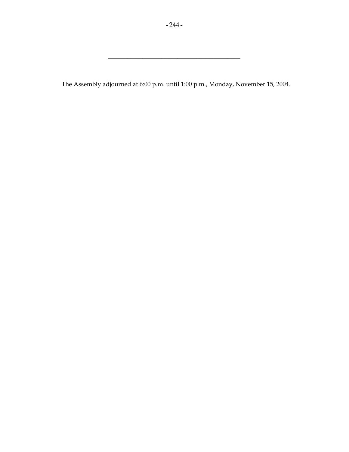The Assembly adjourned at 6:00 p.m. until 1:00 p.m., Monday, November 15, 2004.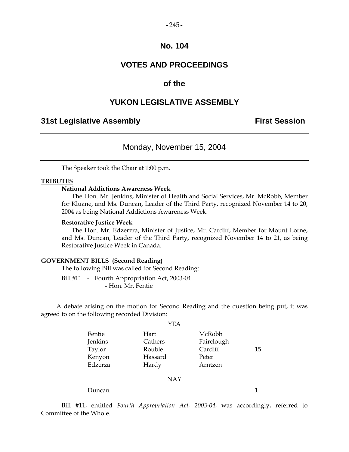#### $-245-$

## **No. 104**

## **VOTES AND PROCEEDINGS**

## **of the**

## **YUKON LEGISLATIVE ASSEMBLY**

## **31st Legislative Assembly The Contract Session**

## Monday, November 15, 2004

The Speaker took the Chair at 1:00 p.m.

#### **TRIBUTES**

## **National Addictions Awareness Week**

 The Hon. Mr. Jenkins, Minister of Health and Social Services, Mr. McRobb, Member for Kluane, and Ms. Duncan, Leader of the Third Party, recognized November 14 to 20, 2004 as being National Addictions Awareness Week.

#### **Restorative Justice Week**

 The Hon. Mr. Edzerzra, Minister of Justice, Mr. Cardiff, Member for Mount Lorne, and Ms. Duncan, Leader of the Third Party, recognized November 14 to 21, as being Restorative Justice Week in Canada.

#### **GOVERNMENT BILLS (Second Reading)**

The following Bill was called for Second Reading:

Bill #11 - Fourth Appropriation Act, 2003-04 - Hon. Mr. Fentie

 A debate arising on the motion for Second Reading and the question being put, it was agreed to on the following recorded Division:

|         | YEA     |            |    |
|---------|---------|------------|----|
| Fentie  | Hart    | McRobb     |    |
| Jenkins | Cathers | Fairclough |    |
| Taylor  | Rouble  | Cardiff    | 15 |
| Kenyon  | Hassard | Peter      |    |
| Edzerza | Hardy   | Arntzen    |    |

#### NAY

Duncan 1

 Bill #11, entitled *Fourth Appropriation Act, 2003-04,* was accordingly, referred to Committee of the Whole.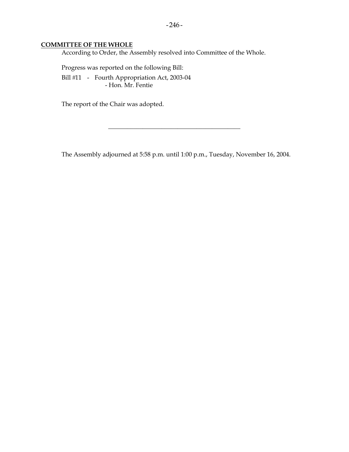## **COMMITTEE OF THE WHOLE**

According to Order, the Assembly resolved into Committee of the Whole.

 Progress was reported on the following Bill: Bill #11 - Fourth Appropriation Act, 2003-04 - Hon. Mr. Fentie

The report of the Chair was adopted.

The Assembly adjourned at 5:58 p.m. until 1:00 p.m., Tuesday, November 16, 2004.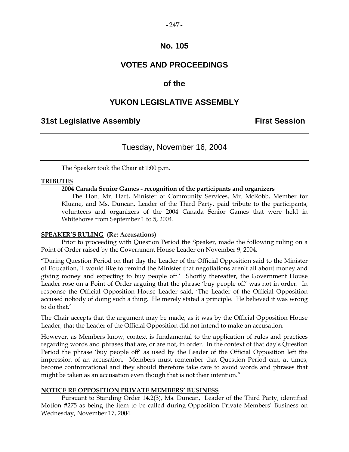## $-247-$

## **No. 105**

## **VOTES AND PROCEEDINGS**

## **of the**

## **YUKON LEGISLATIVE ASSEMBLY**

## **31st Legislative Assembly First Session**

## Tuesday, November 16, 2004

The Speaker took the Chair at 1:00 p.m.

## **TRIBUTES**

## **2004 Canada Senior Games - recognition of the participants and organizers**

 The Hon. Mr. Hart, Minister of Community Services, Mr. McRobb, Member for Kluane, and Ms. Duncan, Leader of the Third Party, paid tribute to the participants, volunteers and organizers of the 2004 Canada Senior Games that were held in Whitehorse from September 1 to 5, 2004.

### **SPEAKER'S RULING (Re: Accusations)**

 Prior to proceeding with Question Period the Speaker, made the following ruling on a Point of Order raised by the Government House Leader on November 9, 2004.

"During Question Period on that day the Leader of the Official Opposition said to the Minister of Education, 'I would like to remind the Minister that negotiations aren't all about money and giving money and expecting to buy people off.' Shortly thereafter, the Government House Leader rose on a Point of Order arguing that the phrase 'buy people off' was not in order. In response the Official Opposition House Leader said, 'The Leader of the Official Opposition accused nobody of doing such a thing. He merely stated a principle. He believed it was wrong to do that.'

The Chair accepts that the argument may be made, as it was by the Official Opposition House Leader, that the Leader of the Official Opposition did not intend to make an accusation.

However, as Members know, context is fundamental to the application of rules and practices regarding words and phrases that are, or are not, in order. In the context of that day's Question Period the phrase 'buy people off' as used by the Leader of the Official Opposition left the impression of an accusation. Members must remember that Question Period can, at times, become confrontational and they should therefore take care to avoid words and phrases that might be taken as an accusation even though that is not their intention."

### **NOTICE RE OPPOSITION PRIVATE MEMBERS' BUSINESS**

 Pursuant to Standing Order 14.2(3), Ms. Duncan, Leader of the Third Party, identified Motion #275 as being the item to be called during Opposition Private Members' Business on Wednesday, November 17, 2004.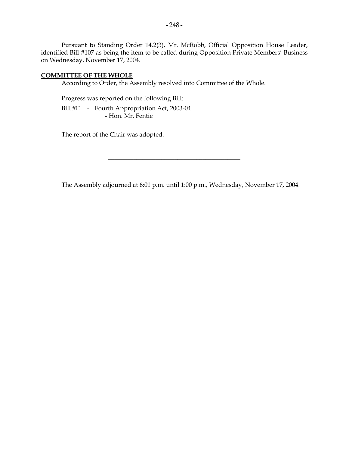Pursuant to Standing Order 14.2(3), Mr. McRobb, Official Opposition House Leader, identified Bill #107 as being the item to be called during Opposition Private Members' Business on Wednesday, November 17, 2004.

## **COMMITTEE OF THE WHOLE**

According to Order, the Assembly resolved into Committee of the Whole.

 Progress was reported on the following Bill: Bill #11 - Fourth Appropriation Act, 2003-04 - Hon. Mr. Fentie

The report of the Chair was adopted.

The Assembly adjourned at 6:01 p.m. until 1:00 p.m., Wednesday, November 17, 2004.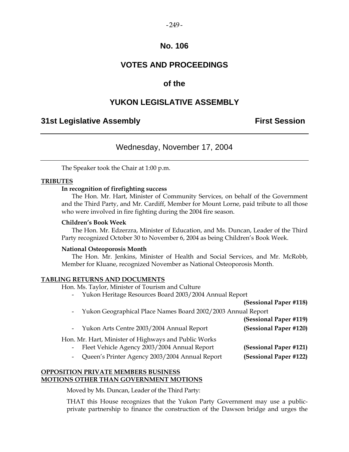### $-249-$

## **No. 106**

## **VOTES AND PROCEEDINGS**

## **of the**

## **YUKON LEGISLATIVE ASSEMBLY**

## **31st Legislative Assembly First Session**

## Wednesday, November 17, 2004

The Speaker took the Chair at 1:00 p.m.

## **TRIBUTES**

## **In recognition of firefighting success**

 The Hon. Mr. Hart, Minister of Community Services, on behalf of the Government and the Third Party, and Mr. Cardiff, Member for Mount Lorne, paid tribute to all those who were involved in fire fighting during the 2004 fire season.

### **Children's Book Week**

 The Hon. Mr. Edzerzra, Minister of Education, and Ms. Duncan, Leader of the Third Party recognized October 30 to November 6, 2004 as being Children's Book Week.

### **National Osteoporosis Month**

 The Hon. Mr. Jenkins, Minister of Health and Social Services, and Mr. McRobb, Member for Kluane, recognized November as National Osteoporosis Month.

### **TABLING RETURNS AND DOCUMENTS**

Hon. Ms. Taylor, Minister of Tourism and Culture

- Yukon Heritage Resources Board 2003/2004 Annual Report

|            |                                                                | (Sessional Paper #118) |
|------------|----------------------------------------------------------------|------------------------|
|            | - Yukon Geographical Place Names Board 2002/2003 Annual Report |                        |
|            |                                                                | (Sessional Paper #119) |
|            | - Yukon Arts Centre 2003/2004 Annual Report                    | (Sessional Paper #120) |
|            | Hon. Mr. Hart, Minister of Highways and Public Works           |                        |
|            | - Fleet Vehicle Agency 2003/2004 Annual Report                 | (Sessional Paper #121) |
| $\sim$ $-$ | Queen's Printer Agency 2003/2004 Annual Report                 | (Sessional Paper #122) |
|            |                                                                |                        |

## **OPPOSITION PRIVATE MEMBERS BUSINESS MOTIONS OTHER THAN GOVERNMENT MOTIONS**

Moved by Ms. Duncan, Leader of the Third Party:

 THAT this House recognizes that the Yukon Party Government may use a publicprivate partnership to finance the construction of the Dawson bridge and urges the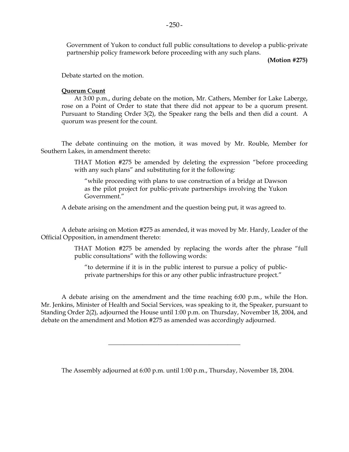Government of Yukon to conduct full public consultations to develop a public-private partnership policy framework before proceeding with any such plans.

 **(Motion #275)** 

Debate started on the motion.

#### **Quorum Count**

 At 3:00 p.m., during debate on the motion, Mr. Cathers, Member for Lake Laberge, rose on a Point of Order to state that there did not appear to be a quorum present. Pursuant to Standing Order 3(2), the Speaker rang the bells and then did a count. A quorum was present for the count.

 The debate continuing on the motion, it was moved by Mr. Rouble, Member for Southern Lakes, in amendment thereto:

> THAT Motion #275 be amended by deleting the expression "before proceeding with any such plans" and substituting for it the following:

 "while proceeding with plans to use construction of a bridge at Dawson as the pilot project for public-private partnerships involving the Yukon Government."

A debate arising on the amendment and the question being put, it was agreed to.

 A debate arising on Motion #275 as amended, it was moved by Mr. Hardy, Leader of the Official Opposition, in amendment thereto:

> THAT Motion #275 be amended by replacing the words after the phrase "full public consultations" with the following words:

 "to determine if it is in the public interest to pursue a policy of publicprivate partnerships for this or any other public infrastructure project."

 A debate arising on the amendment and the time reaching 6:00 p.m., while the Hon. Mr. Jenkins, Minister of Health and Social Services, was speaking to it, the Speaker, pursuant to Standing Order 2(2), adjourned the House until 1:00 p.m. on Thursday, November 18, 2004, and debate on the amendment and Motion #275 as amended was accordingly adjourned.

\_\_\_\_\_\_\_\_\_\_\_\_\_\_\_\_\_\_\_\_\_\_\_\_\_\_\_\_\_\_\_\_\_\_\_\_\_\_\_\_\_\_

The Assembly adjourned at 6:00 p.m. until 1:00 p.m., Thursday, November 18, 2004.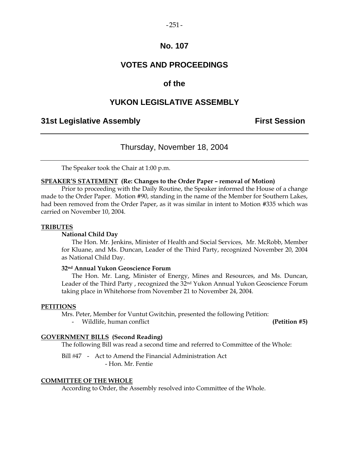# $-251 -$

# **No. 107**

# **VOTES AND PROCEEDINGS**

# **of the**

# **YUKON LEGISLATIVE ASSEMBLY**

# **31st Legislative Assembly First Session**

## Thursday, November 18, 2004

The Speaker took the Chair at 1:00 p.m.

#### **SPEAKER'S STATEMENT (Re: Changes to the Order Paper – removal of Motion)**

 Prior to proceeding with the Daily Routine, the Speaker informed the House of a change made to the Order Paper. Motion #90, standing in the name of the Member for Southern Lakes, had been removed from the Order Paper, as it was similar in intent to Motion #335 which was carried on November 10, 2004.

#### **TRIBUTES**

## **National Child Day**

 The Hon. Mr. Jenkins, Minister of Health and Social Services, Mr. McRobb, Member for Kluane, and Ms. Duncan, Leader of the Third Party, recognized November 20, 2004 as National Child Day.

## **32nd Annual Yukon Geoscience Forum**

 The Hon. Mr. Lang, Minister of Energy, Mines and Resources, and Ms. Duncan, Leader of the Third Party , recognized the 32nd Yukon Annual Yukon Geoscience Forum taking place in Whitehorse from November 21 to November 24, 2004.

#### **PETITIONS**

Mrs. Peter, Member for Vuntut Gwitchin, presented the following Petition:

- Wildlife, human conflict **(Petition #5)**

## **GOVERNMENT BILLS (Second Reading)**

The following Bill was read a second time and referred to Committee of the Whole:

Bill #47 - Act to Amend the Financial Administration Act - Hon. Mr. Fentie

#### **COMMITTEE OF THE WHOLE**

According to Order, the Assembly resolved into Committee of the Whole.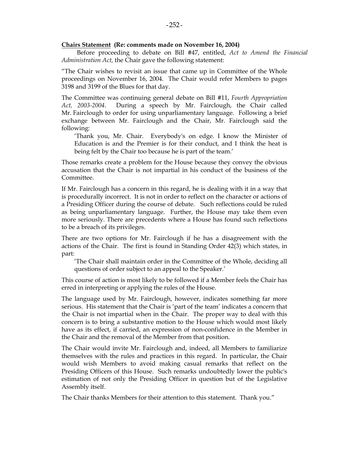#### **Chairs Statement (Re: comments made on November 16, 2004)**

 Before proceeding to debate on Bill #47, entitled, *Act to Amend the Financial Administration Act,* the Chair gave the following statement:

 "The Chair wishes to revisit an issue that came up in Committee of the Whole proceedings on November 16, 2004. The Chair would refer Members to pages 3198 and 3199 of the Blues for that day.

 The Committee was continuing general debate on Bill #11, *Fourth Appropriation Act, 2003-2004*. During a speech by Mr. Fairclough, the Chair called Mr. Fairclough to order for using unparliamentary language. Following a brief exchange between Mr. Fairclough and the Chair, Mr. Fairclough said the following:

 'Thank you, Mr. Chair. Everybody's on edge. I know the Minister of Education is and the Premier is for their conduct, and I think the heat is being felt by the Chair too because he is part of the team.'

 Those remarks create a problem for the House because they convey the obvious accusation that the Chair is not impartial in his conduct of the business of the Committee.

 If Mr. Fairclough has a concern in this regard, he is dealing with it in a way that is procedurally incorrect. It is not in order to reflect on the character or actions of a Presiding Officer during the course of debate. Such reflections could be ruled as being unparliamentary language. Further, the House may take them even more seriously. There are precedents where a House has found such reflections to be a breach of its privileges.

 There are two options for Mr. Fairclough if he has a disagreement with the actions of the Chair. The first is found in Standing Order 42(3) which states, in part:

 'The Chair shall maintain order in the Committee of the Whole, deciding all questions of order subject to an appeal to the Speaker.'

 This course of action is most likely to be followed if a Member feels the Chair has erred in interpreting or applying the rules of the House.

 The language used by Mr. Fairclough, however, indicates something far more serious. His statement that the Chair is 'part of the team' indicates a concern that the Chair is not impartial when in the Chair. The proper way to deal with this concern is to bring a substantive motion to the House which would most likely have as its effect, if carried, an expression of non-confidence in the Member in the Chair and the removal of the Member from that position.

 The Chair would invite Mr. Fairclough and, indeed, all Members to familiarize themselves with the rules and practices in this regard. In particular, the Chair would wish Members to avoid making casual remarks that reflect on the Presiding Officers of this House. Such remarks undoubtedly lower the public's estimation of not only the Presiding Officer in question but of the Legislative Assembly itself.

The Chair thanks Members for their attention to this statement. Thank you."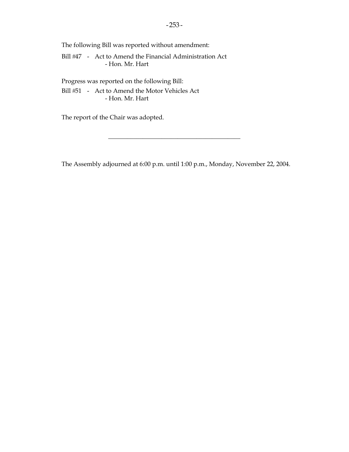The following Bill was reported without amendment:

Bill #47 - Act to Amend the Financial Administration Act - Hon. Mr. Hart

Progress was reported on the following Bill:

Bill #51 - Act to Amend the Motor Vehicles Act - Hon. Mr. Hart

The report of the Chair was adopted.

The Assembly adjourned at 6:00 p.m. until 1:00 p.m., Monday, November 22, 2004.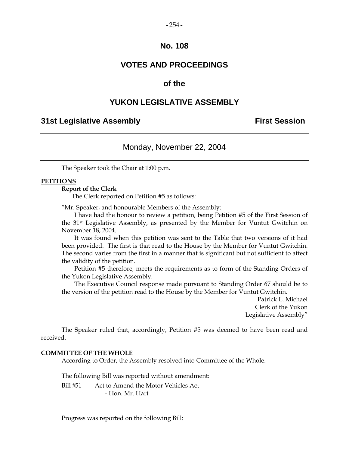# $-254-$

# **No. 108**

# **VOTES AND PROCEEDINGS**

# **of the**

## **YUKON LEGISLATIVE ASSEMBLY**

## **31st Legislative Assembly First Session**

## Monday, November 22, 2004

The Speaker took the Chair at 1:00 p.m.

## **PETITIONS**

## **Report of the Clerk**

The Clerk reported on Petition #5 as follows:

"Mr. Speaker, and honourable Members of the Assembly:

 I have had the honour to review a petition, being Petition #5 of the First Session of the 31st Legislative Assembly, as presented by the Member for Vuntut Gwitchin on November 18, 2004.

 It was found when this petition was sent to the Table that two versions of it had been provided. The first is that read to the House by the Member for Vuntut Gwitchin. The second varies from the first in a manner that is significant but not sufficient to affect the validity of the petition.

 Petition #5 therefore, meets the requirements as to form of the Standing Orders of the Yukon Legislative Assembly.

 The Executive Council response made pursuant to Standing Order 67 should be to the version of the petition read to the House by the Member for Vuntut Gwitchin.

> Patrick L. Michael Clerk of the Yukon Legislative Assembly"

 The Speaker ruled that, accordingly, Petition #5 was deemed to have been read and received.

#### **COMMITTEE OF THE WHOLE**

According to Order, the Assembly resolved into Committee of the Whole.

The following Bill was reported without amendment:

Bill #51 - Act to Amend the Motor Vehicles Act - Hon. Mr. Hart

Progress was reported on the following Bill: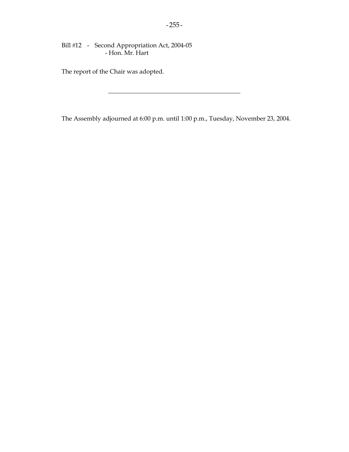Bill #12 - Second Appropriation Act, 2004-05 - Hon. Mr. Hart

The report of the Chair was adopted.

The Assembly adjourned at 6:00 p.m. until 1:00 p.m., Tuesday, November 23, 2004.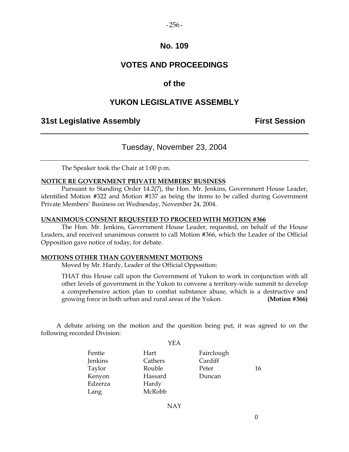## $-256-$

# **No. 109**

# **VOTES AND PROCEEDINGS**

# **of the**

# **YUKON LEGISLATIVE ASSEMBLY**

## **31st Legislative Assembly First Session**

## Tuesday, November 23, 2004

The Speaker took the Chair at 1:00 p.m.

## **NOTICE RE GOVERNMENT PRIVATE MEMBERS' BUSINESS**

 Pursuant to Standing Order 14.2(7), the Hon. Mr. Jenkins, Government House Leader, identified Motion #322 and Motion #137 as being the items to be called during Government Private Members' Business on Wednesday, November 24, 2004.

#### **UNANIMOUS CONSENT REQUESTED TO PROCEED WITH MOTION #366**

 The Hon. Mr. Jenkins, Government House Leader, requested, on behalf of the House Leaders, and received unanimous consent to call Motion #366, which the Leader of the Official Opposition gave notice of today, for debate.

## **MOTIONS OTHER THAN GOVERNMENT MOTIONS**

Moved by Mr. Hardy, Leader of the Official Opposition:

 THAT this House call upon the Government of Yukon to work in conjunction with all other levels of government in the Yukon to convene a territory-wide summit to develop a comprehensive action plan to combat substance abuse, which is a destructive and growing force in both urban and rural areas of the Yukon. **(Motion #366)** 

 A debate arising on the motion and the question being put, it was agreed to on the following recorded Division:  $Y$ EA

|         | YEA     |            |    |
|---------|---------|------------|----|
| Fentie  | Hart    | Fairclough |    |
| Jenkins | Cathers | Cardiff    |    |
| Taylor  | Rouble  | Peter      | 16 |
| Kenyon  | Hassard | Duncan     |    |
| Edzerza | Hardy   |            |    |
| Lang    | McRobb  |            |    |
|         |         |            |    |

NAY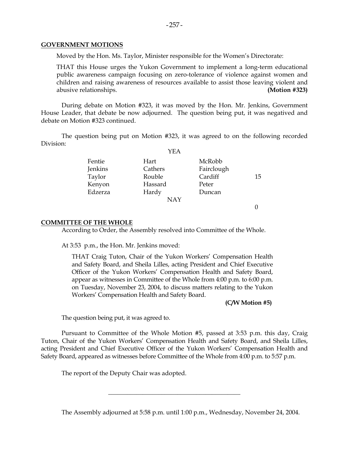#### **GOVERNMENT MOTIONS**

Moved by the Hon. Ms. Taylor, Minister responsible for the Women's Directorate:

 THAT this House urges the Yukon Government to implement a long-term educational public awareness campaign focusing on zero-tolerance of violence against women and children and raising awareness of resources available to assist those leaving violent and abusive relationships. **(Motion #323)** 

 During debate on Motion #323, it was moved by the Hon. Mr. Jenkins, Government House Leader, that debate be now adjourned. The question being put, it was negatived and debate on Motion #323 continued.

 The question being put on Motion #323, it was agreed to on the following recorded Division:

|         | YEA     |            |    |
|---------|---------|------------|----|
| Fentie  | Hart    | McRobb     |    |
| Jenkins | Cathers | Fairclough |    |
| Taylor  | Rouble  | Cardiff    | 15 |
| Kenyon  | Hassard | Peter      |    |
| Edzerza | Hardy   | Duncan     |    |
|         | NAY     |            |    |

 $\theta$ 

## **COMMITTEE OF THE WHOLE**

According to Order, the Assembly resolved into Committee of the Whole.

At 3:53 p.m., the Hon. Mr. Jenkins moved:

THAT Craig Tuton, Chair of the Yukon Workers' Compensation Health and Safety Board, and Sheila Lilles, acting President and Chief Executive Officer of the Yukon Workers' Compensation Health and Safety Board, appear as witnesses in Committee of the Whole from 4:00 p.m. to 6:00 p.m. on Tuesday, November 23, 2004, to discuss matters relating to the Yukon Workers' Compensation Health and Safety Board.

#### **(C/W Motion #5)**

The question being put, it was agreed to.

 Pursuant to Committee of the Whole Motion #5, passed at 3:53 p.m. this day, Craig Tuton, Chair of the Yukon Workers' Compensation Health and Safety Board, and Sheila Lilles, acting President and Chief Executive Officer of the Yukon Workers' Compensation Health and Safety Board, appeared as witnesses before Committee of the Whole from 4:00 p.m. to 5:57 p.m.

The report of the Deputy Chair was adopted.

The Assembly adjourned at 5:58 p.m. until 1:00 p.m., Wednesday, November 24, 2004.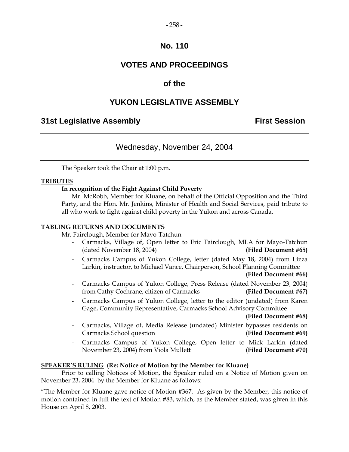## $-258-$

# **No. 110**

# **VOTES AND PROCEEDINGS**

# **of the**

# **YUKON LEGISLATIVE ASSEMBLY**

# **31st Legislative Assembly First Session**

# Wednesday, November 24, 2004

The Speaker took the Chair at 1:00 p.m.

## **TRIBUTES**

## **In recognition of the Fight Against Child Poverty**

 Mr. McRobb, Member for Kluane, on behalf of the Official Opposition and the Third Party, and the Hon. Mr. Jenkins, Minister of Health and Social Services, paid tribute to all who work to fight against child poverty in the Yukon and across Canada.

## **TABLING RETURNS AND DOCUMENTS**

Mr. Fairclough, Member for Mayo-Tatchun

- Carmacks, Village of, Open letter to Eric Fairclough, MLA for Mayo-Tatchun (dated November 18, 2004) **(Filed Document #65)**
- Carmacks Campus of Yukon College, letter (dated May 18, 2004) from Lizza Larkin, instructor, to Michael Vance, Chairperson, School Planning Committee

#### **(Filed Document #66)**

- Carmacks Campus of Yukon College, Press Release (dated November 23, 2004) from Cathy Cochrane, citizen of Carmacks **(Filed Document #67)**
- Carmacks Campus of Yukon College, letter to the editor (undated) from Karen Gage, Community Representative, Carmacks School Advisory Committee

- Carmacks, Village of, Media Release (undated) Minister bypasses residents on Carmacks School question **(Filed Document #69)**
- Carmacks Campus of Yukon College, Open letter to Mick Larkin (dated November 23, 2004) from Viola Mullett **(Filed Document #70)**

## **SPEAKER'S RULING (Re: Notice of Motion by the Member for Kluane)**

 Prior to calling Notices of Motion, the Speaker ruled on a Notice of Motion given on November 23, 2004 by the Member for Kluane as follows:

"The Member for Kluane gave notice of Motion #367. As given by the Member, this notice of motion contained in full the text of Motion #83, which, as the Member stated, was given in this House on April 8, 2003.

**(Filed Document #68)**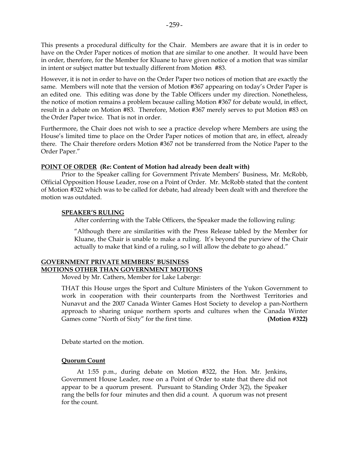This presents a procedural difficulty for the Chair. Members are aware that it is in order to have on the Order Paper notices of motion that are similar to one another. It would have been in order, therefore, for the Member for Kluane to have given notice of a motion that was similar in intent or subject matter but textually different from Motion #83.

However, it is not in order to have on the Order Paper two notices of motion that are exactly the same. Members will note that the version of Motion #367 appearing on today's Order Paper is an edited one. This editing was done by the Table Officers under my direction. Nonetheless, the notice of motion remains a problem because calling Motion #367 for debate would, in effect, result in a debate on Motion #83. Therefore, Motion #367 merely serves to put Motion #83 on the Order Paper twice. That is not in order.

Furthermore, the Chair does not wish to see a practice develop where Members are using the House's limited time to place on the Order Paper notices of motion that are, in effect, already there. The Chair therefore orders Motion #367 not be transferred from the Notice Paper to the Order Paper."

## **POINT OF ORDER (Re: Content of Motion had already been dealt with)**

 Prior to the Speaker calling for Government Private Members' Business, Mr. McRobb, Official Opposition House Leader, rose on a Point of Order. Mr. McRobb stated that the content of Motion #322 which was to be called for debate, had already been dealt with and therefore the motion was outdated.

## **SPEAKER'S RULING**

After conferring with the Table Officers, the Speaker made the following ruling:

 "Although there are similarities with the Press Release tabled by the Member for Kluane, the Chair is unable to make a ruling. It's beyond the purview of the Chair actually to make that kind of a ruling, so I will allow the debate to go ahead."

## **GOVERNMENT PRIVATE MEMBERS' BUSINESS MOTIONS OTHER THAN GOVERNMENT MOTIONS**

Moved by Mr. Cathers, Member for Lake Laberge:

 THAT this House urges the Sport and Culture Ministers of the Yukon Government to work in cooperation with their counterparts from the Northwest Territories and Nunavut and the 2007 Canada Winter Games Host Society to develop a pan-Northern approach to sharing unique northern sports and cultures when the Canada Winter Games come "North of Sixty" for the first time. **(Motion #322)** 

Debate started on the motion.

## **Quorum Count**

 At 1:55 p.m., during debate on Motion #322, the Hon. Mr. Jenkins, Government House Leader, rose on a Point of Order to state that there did not appear to be a quorum present. Pursuant to Standing Order 3(2), the Speaker rang the bells for four minutes and then did a count. A quorum was not present for the count.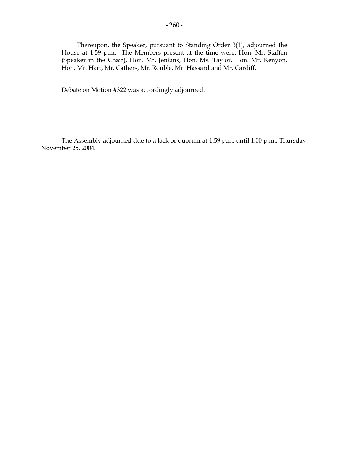Thereupon, the Speaker, pursuant to Standing Order 3(1), adjourned the House at 1:59 p.m. The Members present at the time were: Hon. Mr. Staffen (Speaker in the Chair), Hon. Mr. Jenkins, Hon. Ms. Taylor, Hon. Mr. Kenyon, Hon. Mr. Hart, Mr. Cathers, Mr. Rouble, Mr. Hassard and Mr. Cardiff.

Debate on Motion #322 was accordingly adjourned.

 The Assembly adjourned due to a lack or quorum at 1:59 p.m. until 1:00 p.m., Thursday, November 25, 2004.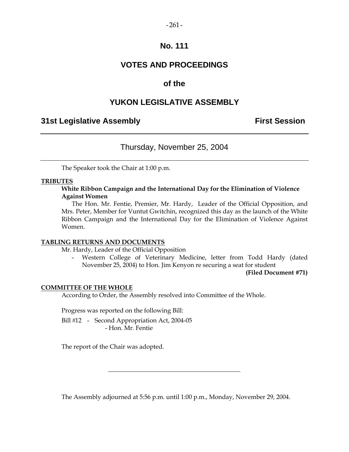## $-261-$

# **No. 111**

# **VOTES AND PROCEEDINGS**

# **of the**

# **YUKON LEGISLATIVE ASSEMBLY**

# **31st Legislative Assembly First Session**

# Thursday, November 25, 2004

The Speaker took the Chair at 1:00 p.m.

## **TRIBUTES**

**White Ribbon Campaign and the International Day for the Elimination of Violence Against Women** 

 The Hon. Mr. Fentie, Premier, Mr. Hardy, Leader of the Official Opposition, and Mrs. Peter, Member for Vuntut Gwitchin, recognized this day as the launch of the White Ribbon Campaign and the International Day for the Elimination of Violence Against Women.

## **TABLING RETURNS AND DOCUMENTS**

Mr. Hardy, Leader of the Official Opposition

 - Western College of Veterinary Medicine, letter from Todd Hardy (dated November 25, 2004) to Hon. Jim Kenyon re securing a seat for student

**(Filed Document #71)** 

## **COMMITTEE OF THE WHOLE**

According to Order, the Assembly resolved into Committee of the Whole.

Progress was reported on the following Bill:

Bill #12 - Second Appropriation Act, 2004-05 - Hon. Mr. Fentie

The report of the Chair was adopted.

The Assembly adjourned at 5:56 p.m. until 1:00 p.m., Monday, November 29, 2004.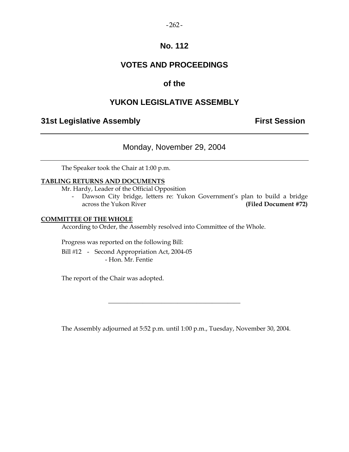## $-262-$

# **No. 112**

# **VOTES AND PROCEEDINGS**

# **of the**

# **YUKON LEGISLATIVE ASSEMBLY**

# **31st Legislative Assembly The Contract Session**

Monday, November 29, 2004

The Speaker took the Chair at 1:00 p.m.

## **TABLING RETURNS AND DOCUMENTS**

Mr. Hardy, Leader of the Official Opposition

 - Dawson City bridge, letters re: Yukon Government's plan to build a bridge across the Yukon River **(Filed Document #72)** 

## **COMMITTEE OF THE WHOLE**

According to Order, the Assembly resolved into Committee of the Whole.

Progress was reported on the following Bill:

Bill #12 - Second Appropriation Act, 2004-05 - Hon. Mr. Fentie

The report of the Chair was adopted.

The Assembly adjourned at 5:52 p.m. until 1:00 p.m., Tuesday, November 30, 2004.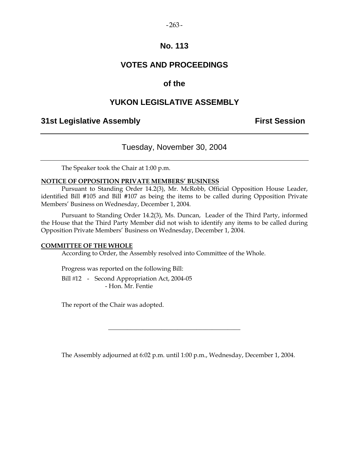## $-263-$

# **No. 113**

# **VOTES AND PROCEEDINGS**

# **of the**

# **YUKON LEGISLATIVE ASSEMBLY**

# **31st Legislative Assembly First Session**

# Tuesday, November 30, 2004

The Speaker took the Chair at 1:00 p.m.

## **NOTICE OF OPPOSITION PRIVATE MEMBERS' BUSINESS**

 Pursuant to Standing Order 14.2(3), Mr. McRobb, Official Opposition House Leader, identified Bill #105 and Bill #107 as being the items to be called during Opposition Private Members' Business on Wednesday, December 1, 2004.

 Pursuant to Standing Order 14.2(3), Ms. Duncan, Leader of the Third Party, informed the House that the Third Party Member did not wish to identify any items to be called during Opposition Private Members' Business on Wednesday, December 1, 2004.

#### **COMMITTEE OF THE WHOLE**

According to Order, the Assembly resolved into Committee of the Whole.

Progress was reported on the following Bill:

Bill #12 - Second Appropriation Act, 2004-05 - Hon. Mr. Fentie

The report of the Chair was adopted.

The Assembly adjourned at 6:02 p.m. until 1:00 p.m., Wednesday, December 1, 2004.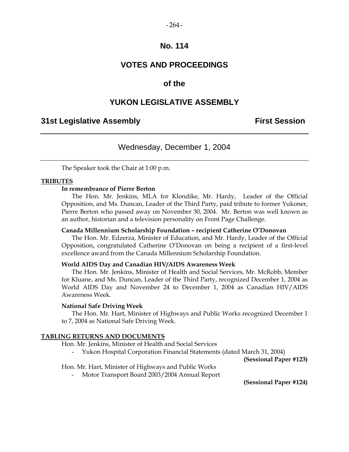#### $-264-$

## **No. 114**

# **VOTES AND PROCEEDINGS**

# **of the**

## **YUKON LEGISLATIVE ASSEMBLY**

## **31st Legislative Assembly First Session**

# Wednesday, December 1, 2004

The Speaker took the Chair at 1:00 p.m.

#### **TRIBUTES**

## **In remembrance of Pierre Berton**

 The Hon. Mr. Jenkins, MLA for Klondike, Mr. Hardy, Leader of the Official Opposition, and Ms. Duncan, Leader of the Third Party, paid tribute to former Yukoner, Pierre Berton who passed away on November 30, 2004. Mr. Berton was well known as an author, historian and a television personality on Front Page Challenge.

## **Canada Millennium Scholarship Foundation – recipient Catherine O'Donovan**

 The Hon. Mr. Edzerza, Minister of Education, and Mr. Hardy, Leader of the Official Opposition, congratulated Catherine O'Donovan on being a recipient of a first-level excellence award from the Canada Millennium Scholarship Foundation.

## **World AIDS Day and Canadian HIV/AIDS Awareness Week**

 The Hon. Mr. Jenkins, Minister of Health and Social Services, Mr. McRobb, Member for Kluane, and Ms. Duncan, Leader of the Third Party, recognized December 1, 2004 as World AIDS Day and November 24 to December 1, 2004 as Canadian HIV/AIDS Awareness Week.

#### **National Safe Driving Week**

 The Hon. Mr. Hart, Minister of Highways and Public Works recognized December 1 to 7, 2004 as National Safe Driving Week.

#### **TABLING RETURNS AND DOCUMENTS**

- Hon. Mr. Jenkins, Minister of Health and Social Services
	- Yukon Hospital Corporation Financial Statements (dated March 31, 2004)

**(Sessional Paper #123)** 

## Hon. Mr. Hart, Minister of Highways and Public Works

- Motor Transport Board 2003/2004 Annual Report

**(Sessional Paper #124)**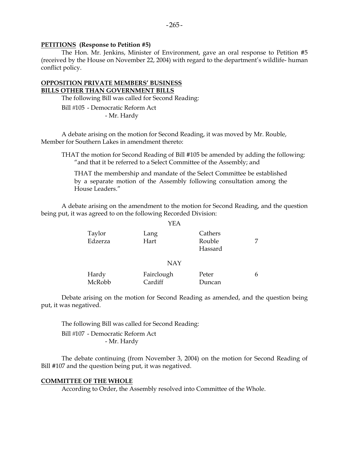#### **PETITIONS (Response to Petition #5)**

 The Hon. Mr. Jenkins, Minister of Environment, gave an oral response to Petition #5 (received by the House on November 22, 2004) with regard to the department's wildlife- human conflict policy.

## **OPPOSITION PRIVATE MEMBERS' BUSINESS BILLS OTHER THAN GOVERNMENT BILLS**

The following Bill was called for Second Reading:

Bill #105 - Democratic Reform Act - Mr. Hardy

 A debate arising on the motion for Second Reading, it was moved by Mr. Rouble, Member for Southern Lakes in amendment thereto:

 THAT the motion for Second Reading of Bill #105 be amended by adding the following: "and that it be referred to a Select Committee of the Assembly; and

 THAT the membership and mandate of the Select Committee be established by a separate motion of the Assembly following consultation among the House Leaders."

 A debate arising on the amendment to the motion for Second Reading, and the question being put, it was agreed to on the following Recorded Division:

|                   | YEA                   |                              |   |
|-------------------|-----------------------|------------------------------|---|
| Taylor<br>Edzerza | Lang<br>Hart          | Cathers<br>Rouble<br>Hassard |   |
|                   | <b>NAY</b>            |                              |   |
| Hardy<br>McRobb   | Fairclough<br>Cardiff | Peter<br>Duncan              | 6 |

 Debate arising on the motion for Second Reading as amended, and the question being put, it was negatived.

 The following Bill was called for Second Reading: Bill #107 - Democratic Reform Act - Mr. Hardy

 The debate continuing (from November 3, 2004) on the motion for Second Reading of Bill #107 and the question being put, it was negatived.

#### **COMMITTEE OF THE WHOLE**

According to Order, the Assembly resolved into Committee of the Whole.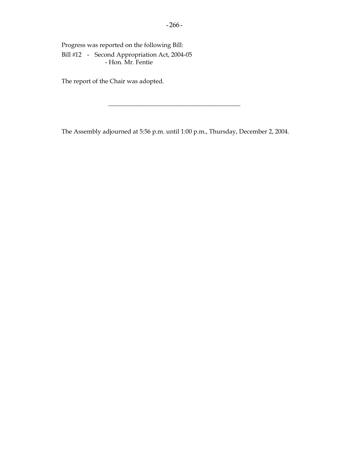Progress was reported on the following Bill: Bill #12 - Second Appropriation Act, 2004-05 - Hon. Mr. Fentie

The report of the Chair was adopted.

The Assembly adjourned at 5:56 p.m. until 1:00 p.m., Thursday, December 2, 2004.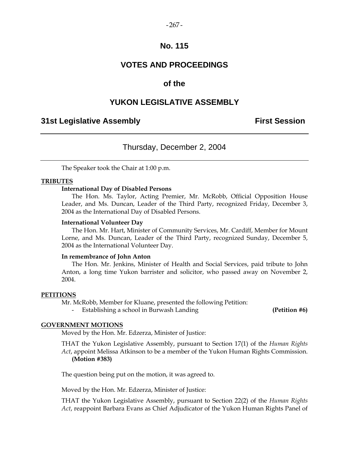#### $-267-$

# **No. 115**

# **VOTES AND PROCEEDINGS**

# **of the**

## **YUKON LEGISLATIVE ASSEMBLY**

# **31st Legislative Assembly First Session**

## Thursday, December 2, 2004

The Speaker took the Chair at 1:00 p.m.

#### **TRIBUTES**

## **International Day of Disabled Persons**

 The Hon. Ms. Taylor, Acting Premier, Mr. McRobb, Official Opposition House Leader, and Ms. Duncan, Leader of the Third Party, recognized Friday, December 3, 2004 as the International Day of Disabled Persons.

#### **International Volunteer Day**

 The Hon. Mr. Hart, Minister of Community Services, Mr. Cardiff, Member for Mount Lorne, and Ms. Duncan, Leader of the Third Party, recognized Sunday, December 5, 2004 as the International Volunteer Day.

#### **In remembrance of John Anton**

 The Hon. Mr. Jenkins, Minister of Health and Social Services, paid tribute to John Anton, a long time Yukon barrister and solicitor, who passed away on November 2, 2004.

#### **PETITIONS**

Mr. McRobb, Member for Kluane, presented the following Petition:

Establishing a school in Burwash Landing **(Petition #6)** (Petition #6)

#### **GOVERNMENT MOTIONS**

Moved by the Hon. Mr. Edzerza, Minister of Justice:

 THAT the Yukon Legislative Assembly, pursuant to Section 17(1) of the *Human Rights Act*, appoint Melissa Atkinson to be a member of the Yukon Human Rights Commission. **(Motion #383)**

The question being put on the motion, it was agreed to.

Moved by the Hon. Mr. Edzerza, Minister of Justice:

 THAT the Yukon Legislative Assembly, pursuant to Section 22(2) of the *Human Rights Act*, reappoint Barbara Evans as Chief Adjudicator of the Yukon Human Rights Panel of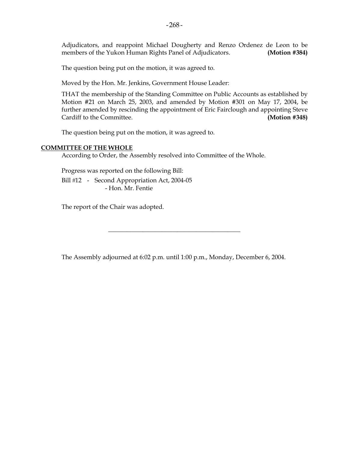Adjudicators, and reappoint Michael Dougherty and Renzo Ordenez de Leon to be members of the Yukon Human Rights Panel of Adjudicators. **(Motion #384)**

The question being put on the motion, it was agreed to.

Moved by the Hon. Mr. Jenkins, Government House Leader:

 THAT the membership of the Standing Committee on Public Accounts as established by Motion #21 on March 25, 2003, and amended by Motion #301 on May 17, 2004, be further amended by rescinding the appointment of Eric Fairclough and appointing Steve Cardiff to the Committee. **(Motion #348)** 

The question being put on the motion, it was agreed to.

## **COMMITTEE OF THE WHOLE**

According to Order, the Assembly resolved into Committee of the Whole.

Progress was reported on the following Bill:

Bill #12 - Second Appropriation Act, 2004-05 - Hon. Mr. Fentie

The report of the Chair was adopted.

The Assembly adjourned at 6:02 p.m. until 1:00 p.m., Monday, December 6, 2004.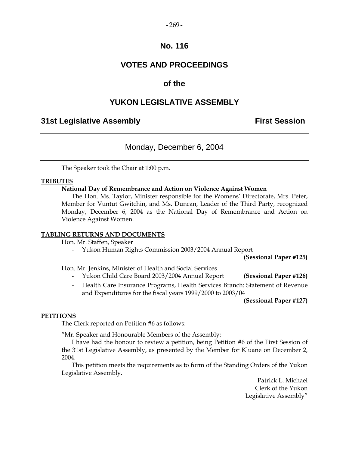#### $-269-$

# **No. 116**

# **VOTES AND PROCEEDINGS**

# **of the**

# **YUKON LEGISLATIVE ASSEMBLY**

# **31st Legislative Assembly First Session**

# Monday, December 6, 2004

The Speaker took the Chair at 1:00 p.m.

## **TRIBUTES**

## **National Day of Remembrance and Action on Violence Against Women**

 The Hon. Ms. Taylor, Minister responsible for the Womens' Directorate, Mrs. Peter, Member for Vuntut Gwitchin, and Ms. Duncan, Leader of the Third Party, recognized Monday, December 6, 2004 as the National Day of Remembrance and Action on Violence Against Women.

## **TABLING RETURNS AND DOCUMENTS**

Hon. Mr. Staffen, Speaker

- Yukon Human Rights Commission 2003/2004 Annual Report

**(Sessional Paper #125)** 

Hon. Mr. Jenkins, Minister of Health and Social Services

- Yukon Child Care Board 2003/2004 Annual Report **(Sessional Paper #126)**
- Health Care Insurance Programs, Health Services Branch: Statement of Revenue and Expenditures for the fiscal years 1999/2000 to 2003/04

**(Sessional Paper #127)** 

## **PETITIONS**

The Clerk reported on Petition #6 as follows:

"Mr. Speaker and Honourable Members of the Assembly:

 I have had the honour to review a petition, being Petition #6 of the First Session of the 31st Legislative Assembly, as presented by the Member for Kluane on December 2, 2004.

 This petition meets the requirements as to form of the Standing Orders of the Yukon Legislative Assembly.

> Patrick L. Michael Clerk of the Yukon Legislative Assembly"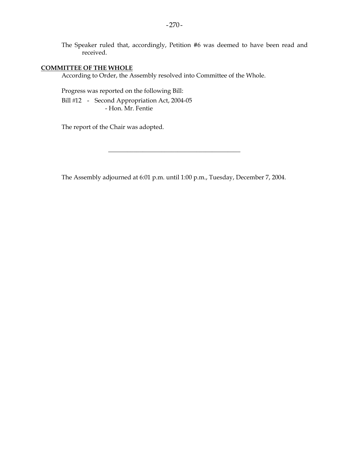The Speaker ruled that, accordingly, Petition #6 was deemed to have been read and received.

## **COMMITTEE OF THE WHOLE**

According to Order, the Assembly resolved into Committee of the Whole.

 Progress was reported on the following Bill: Bill #12 - Second Appropriation Act, 2004-05 - Hon. Mr. Fentie

The report of the Chair was adopted.

The Assembly adjourned at 6:01 p.m. until 1:00 p.m., Tuesday, December 7, 2004.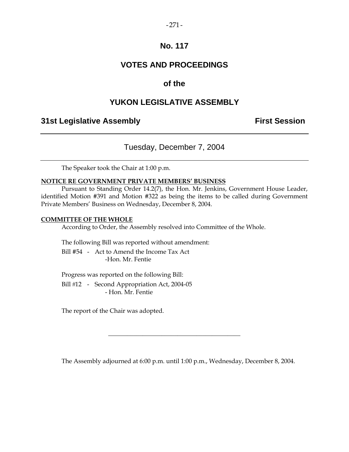## $-271-$

# **No. 117**

# **VOTES AND PROCEEDINGS**

# **of the**

# **YUKON LEGISLATIVE ASSEMBLY**

# **31st Legislative Assembly The Contract Session**

# Tuesday, December 7, 2004

The Speaker took the Chair at 1:00 p.m.

## **NOTICE RE GOVERNMENT PRIVATE MEMBERS' BUSINESS**

 Pursuant to Standing Order 14.2(7), the Hon. Mr. Jenkins, Government House Leader, identified Motion #391 and Motion #322 as being the items to be called during Government Private Members' Business on Wednesday, December 8, 2004.

## **COMMITTEE OF THE WHOLE**

According to Order, the Assembly resolved into Committee of the Whole.

The following Bill was reported without amendment:

 Bill #54 - Act to Amend the Income Tax Act -Hon. Mr. Fentie

Progress was reported on the following Bill:

Bill #12 - Second Appropriation Act, 2004-05 - Hon. Mr. Fentie

The report of the Chair was adopted.

The Assembly adjourned at 6:00 p.m. until 1:00 p.m., Wednesday, December 8, 2004.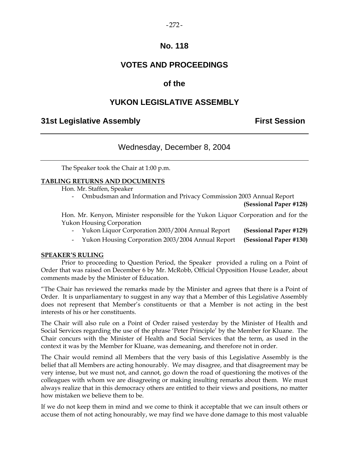## $-272-$

# **No. 118**

# **VOTES AND PROCEEDINGS**

# **of the**

# **YUKON LEGISLATIVE ASSEMBLY**

# **31st Legislative Assembly First Session**

# Wednesday, December 8, 2004

The Speaker took the Chair at 1:00 p.m.

## **TABLING RETURNS AND DOCUMENTS**

Hon. Mr. Staffen, Speaker

- Ombudsman and Information and Privacy Commission 2003 Annual Report

**(Sessional Paper #128)** 

 Hon. Mr. Kenyon, Minister responsible for the Yukon Liquor Corporation and for the Yukon Housing Corporation

- Yukon Liquor Corporation 2003/2004 Annual Report **(Sessional Paper #129)**
- Yukon Housing Corporation 2003/2004 Annual Report **(Sessional Paper #130)**

## **SPEAKER'S RULING**

 Prior to proceeding to Question Period, the Speaker provided a ruling on a Point of Order that was raised on December 6 by Mr. McRobb, Official Opposition House Leader, about comments made by the Minister of Education.

"The Chair has reviewed the remarks made by the Minister and agrees that there is a Point of Order. It is unparliamentary to suggest in any way that a Member of this Legislative Assembly does not represent that Member's constituents or that a Member is not acting in the best interests of his or her constituents.

The Chair will also rule on a Point of Order raised yesterday by the Minister of Health and Social Services regarding the use of the phrase 'Peter Principle' by the Member for Kluane. The Chair concurs with the Minister of Health and Social Services that the term, as used in the context it was by the Member for Kluane, was demeaning, and therefore not in order.

The Chair would remind all Members that the very basis of this Legislative Assembly is the belief that all Members are acting honourably. We may disagree, and that disagreement may be very intense, but we must not, and cannot, go down the road of questioning the motives of the colleagues with whom we are disagreeing or making insulting remarks about them. We must always realize that in this democracy others are entitled to their views and positions, no matter how mistaken we believe them to be.

If we do not keep them in mind and we come to think it acceptable that we can insult others or accuse them of not acting honourably, we may find we have done damage to this most valuable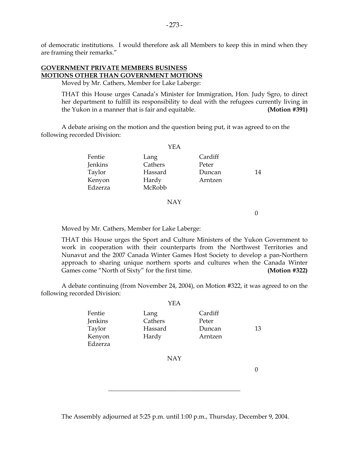of democratic institutions. I would therefore ask all Members to keep this in mind when they are framing their remarks."

## **GOVERNMENT PRIVATE MEMBERS BUSINESS MOTIONS OTHER THAN GOVERNMENT MOTIONS**

Moved by Mr. Cathers, Member for Lake Laberge:

 THAT this House urges Canada's Minister for Immigration, Hon. Judy Sgro, to direct her department to fulfill its responsibility to deal with the refugees currently living in the Yukon in a manner that is fair and equitable. **(Motion #391)** 

 A debate arising on the motion and the question being put, it was agreed to on the following recorded Division:

|         | YEA     |         |    |
|---------|---------|---------|----|
| Fentie  | Lang    | Cardiff |    |
| Jenkins | Cathers | Peter   |    |
| Taylor  | Hassard | Duncan  | 14 |
| Kenyon  | Hardy   | Arntzen |    |
| Edzerza | McRobb  |         |    |
|         |         |         |    |

 $Y_{\text{E}}$ 

#### NAY

0

Moved by Mr. Cathers, Member for Lake Laberge:

 THAT this House urges the Sport and Culture Ministers of the Yukon Government to work in cooperation with their counterparts from the Northwest Territories and Nunavut and the 2007 Canada Winter Games Host Society to develop a pan-Northern approach to sharing unique northern sports and cultures when the Canada Winter Games come "North of Sixty" for the first time. **(Motion #322)** 

 A debate continuing (from November 24, 2004), on Motion #322, it was agreed to on the following recorded Division:

|                                                  | YEA                                 |                                       |    |
|--------------------------------------------------|-------------------------------------|---------------------------------------|----|
| Fentie<br>Jenkins<br>Taylor<br>Kenyon<br>Edzerza | Lang<br>Cathers<br>Hassard<br>Hardy | Cardiff<br>Peter<br>Duncan<br>Arntzen | 13 |

NAY

 $\Omega$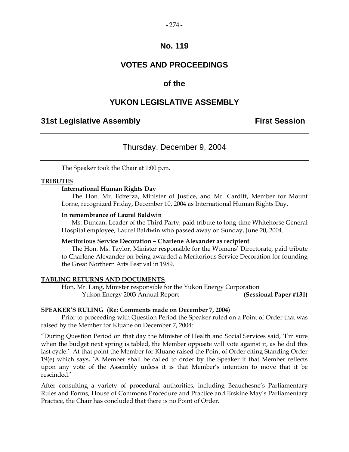## $-274-$

# **No. 119**

# **VOTES AND PROCEEDINGS**

# **of the**

# **YUKON LEGISLATIVE ASSEMBLY**

# **31st Legislative Assembly First Session**

# Thursday, December 9, 2004

The Speaker took the Chair at 1:00 p.m.

## **TRIBUTES**

## **International Human Rights Day**

 The Hon. Mr. Edzerza, Minister of Justice, and Mr. Cardiff, Member for Mount Lorne, recognized Friday, December 10, 2004 as International Human Rights Day.

## **In remembrance of Laurel Baldwin**

 Ms. Duncan, Leader of the Third Party, paid tribute to long-time Whitehorse General Hospital employee, Laurel Baldwin who passed away on Sunday, June 20, 2004.

## **Meritorious Service Decoration – Charlene Alexander as recipient**

 The Hon. Ms. Taylor, Minister responsible for the Womens' Directorate, paid tribute to Charlene Alexander on being awarded a Meritorious Service Decoration for founding the Great Northern Arts Festival in 1989.

## **TABLING RETURNS AND DOCUMENTS**

Hon. Mr. Lang, Minister responsible for the Yukon Energy Corporation

- Yukon Energy 2003 Annual Report **(Sessional Paper #131)** 

## **SPEAKER'S RULING (Re: Comments made on December 7, 2004)**

 Prior to proceeding with Question Period the Speaker ruled on a Point of Order that was raised by the Member for Kluane on December 7, 2004:

"During Question Period on that day the Minister of Health and Social Services said, 'I'm sure when the budget next spring is tabled, the Member opposite will vote against it, as he did this last cycle.' At that point the Member for Kluane raised the Point of Order citing Standing Order 19(e) which says, 'A Member shall be called to order by the Speaker if that Member reflects upon any vote of the Assembly unless it is that Member's intention to move that it be rescinded.'

After consulting a variety of procedural authorities, including Beauchesne's Parliamentary Rules and Forms, House of Commons Procedure and Practice and Erskine May's Parliamentary Practice, the Chair has concluded that there is no Point of Order.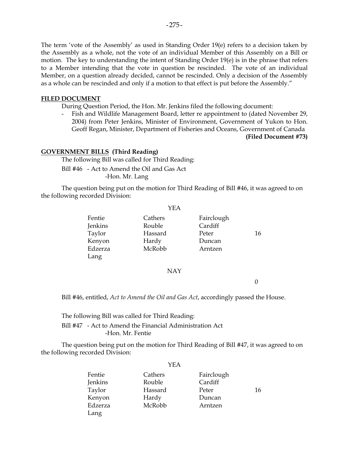The term 'vote of the Assembly' as used in Standing Order 19(e) refers to a decision taken by the Assembly as a whole, not the vote of an individual Member of this Assembly on a Bill or motion. The key to understanding the intent of Standing Order 19(e) is in the phrase that refers to a Member intending that the vote in question be rescinded. The vote of an individual Member, on a question already decided, cannot be rescinded. Only a decision of the Assembly as a whole can be rescinded and only if a motion to that effect is put before the Assembly."

## **FILED DOCUMENT**

During Question Period, the Hon. Mr. Jenkins filed the following document:

 - Fish and Wildlife Management Board, letter re appointment to (dated November 29, 2004) from Peter Jenkins, Minister of Environment, Government of Yukon to Hon. Geoff Regan, Minister, Department of Fisheries and Oceans, Government of Canada **(Filed Document #73)** 

## **GOVERNMENT BILLS (Third Reading)**

The following Bill was called for Third Reading:

 Bill #46 - Act to Amend the Oil and Gas Act -Hon. Mr. Lang

 The question being put on the motion for Third Reading of Bill #46, it was agreed to on the following recorded Division:

YEA

| Fentie  | Cathers | Fairclough |    |
|---------|---------|------------|----|
| Jenkins | Rouble  | Cardiff    |    |
| Taylor  | Hassard | Peter      | 16 |
| Kenyon  | Hardy   | Duncan     |    |
| Edzerza | McRobb  | Arntzen    |    |
| Lang    |         |            |    |

#### NAY

0

Bill #46, entitled, *Act to Amend the Oil and Gas Act*, accordingly passed the House.

## The following Bill was called for Third Reading: Bill #47 - Act to Amend the Financial Administration Act -Hon. Mr. Fentie

 The question being put on the motion for Third Reading of Bill #47, it was agreed to on the following recorded Division:

#### YEA

| Fentie  | Cathers | Fairclough |    |
|---------|---------|------------|----|
| Jenkins | Rouble  | Cardiff    |    |
| Taylor  | Hassard | Peter      | 16 |
| Kenyon  | Hardy   | Duncan     |    |
| Edzerza | McRobb  | Arntzen    |    |
| Lang    |         |            |    |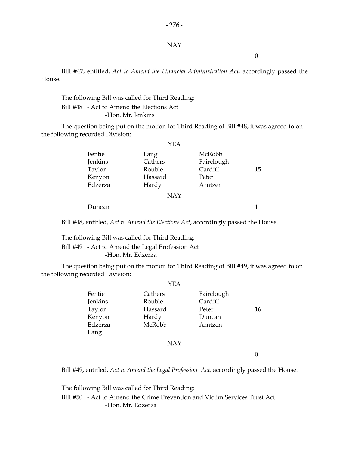## $-276-$

#### NAY

0

 Bill #47, entitled, *Act to Amend the Financial Administration Act,* accordingly passed the House.

## The following Bill was called for Third Reading: Bill #48 - Act to Amend the Elections Act -Hon. Mr. Jenkins

 The question being put on the motion for Third Reading of Bill #48, it was agreed to on the following recorded Division:

|         | <b>YEA</b> |            |    |
|---------|------------|------------|----|
| Fentie  | Lang       | McRobb     |    |
| Jenkins | Cathers    | Fairclough |    |
| Taylor  | Rouble     | Cardiff    | 15 |
| Kenyon  | Hassard    | Peter      |    |
| Edzerza | Hardy      | Arntzen    |    |
|         | <b>NAY</b> |            |    |

Duncan 1

Bill #48, entitled, *Act to Amend the Elections Act*, accordingly passed the House.

 The following Bill was called for Third Reading: Bill #49 - Act to Amend the Legal Profession Act -Hon. Mr. Edzerza

 The question being put on the motion for Third Reading of Bill #49, it was agreed to on the following recorded Division:

|         | YEA                     |            |    |
|---------|-------------------------|------------|----|
| Fentie  | Cathers                 | Fairclough |    |
| Jenkins | Rouble                  | Cardiff    |    |
| Taylor  | Hassard                 | Peter      | 16 |
| Kenyon  | Hardy                   | Duncan     |    |
| Edzerza | McRobb                  | Arntzen    |    |
| Lang    |                         |            |    |
|         | . <del>.</del> <i>.</i> |            |    |

NAY

0

Bill #49, entitled, *Act to Amend the Legal Profession Act*, accordingly passed the House.

The following Bill was called for Third Reading:

 Bill #50 - Act to Amend the Crime Prevention and Victim Services Trust Act -Hon. Mr. Edzerza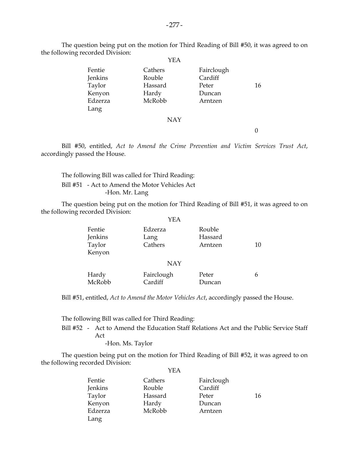The question being put on the motion for Third Reading of Bill #50, it was agreed to on the following recorded Division:

|                                                          | YEA                                             |                                                     |    |
|----------------------------------------------------------|-------------------------------------------------|-----------------------------------------------------|----|
| Fentie<br>Jenkins<br>Taylor<br>Kenyon<br>Edzerza<br>Lang | Cathers<br>Rouble<br>Hassard<br>Hardy<br>McRobb | Fairclough<br>Cardiff<br>Peter<br>Duncan<br>Arntzen | 16 |
|                                                          | <b>NAY</b>                                      |                                                     |    |

 $\theta$ 

 Bill #50, entitled, *Act to Amend the Crime Prevention and Victim Services Trust Act*, accordingly passed the House.

 The following Bill was called for Third Reading: Bill #51 - Act to Amend the Motor Vehicles Act -Hon. Mr. Lang

 The question being put on the motion for Third Reading of Bill #51, it was agreed to on the following recorded Division:  $Y<sub>E</sub>$ 

|                                       | Y E.A                      |                              |    |
|---------------------------------------|----------------------------|------------------------------|----|
| Fentie<br>Jenkins<br>Taylor<br>Kenyon | Edzerza<br>Lang<br>Cathers | Rouble<br>Hassard<br>Arntzen | 10 |
|                                       | <b>NAY</b>                 |                              |    |
| Hardy<br>McRobb                       | Fairclough<br>Cardiff      | Peter<br>Duncan              | 6  |

Bill #51, entitled, *Act to Amend the Motor Vehicles Act*, accordingly passed the House.

The following Bill was called for Third Reading:

 Bill #52 - Act to Amend the Education Staff Relations Act and the Public Service Staff Act

-Hon. Ms. Taylor

 The question being put on the motion for Third Reading of Bill #52, it was agreed to on the following recorded Division:

| Fentie  | Cathers | Fairclough |    |
|---------|---------|------------|----|
| Jenkins | Rouble  | Cardiff    |    |
| Taylor  | Hassard | Peter      | 16 |
| Kenyon  | Hardy   | Duncan     |    |
| Edzerza | McRobb  | Arntzen    |    |
| Lang    |         |            |    |
|         |         |            |    |

YEA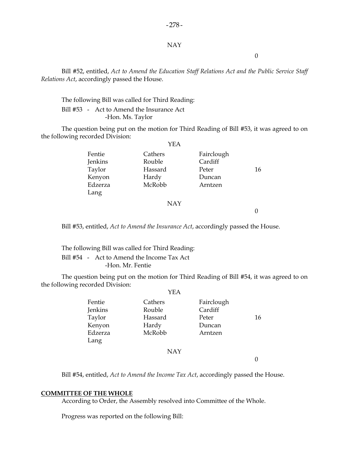## $-278-$

## NAY

0

 Bill #52, entitled, *Act to Amend the Education Staff Relations Act and the Public Service Staff Relations Act*, accordingly passed the House.

 The following Bill was called for Third Reading: Bill #53 - Act to Amend the Insurance Act -Hon. Ms. Taylor

 The question being put on the motion for Third Reading of Bill #53, it was agreed to on the following recorded Division:  $V\mathbf{E}$   $\Lambda$ 

|         | 1 LA       |            |    |
|---------|------------|------------|----|
| Fentie  | Cathers    | Fairclough |    |
| Jenkins | Rouble     | Cardiff    |    |
| Taylor  | Hassard    | Peter      | 16 |
| Kenyon  | Hardy      | Duncan     |    |
| Edzerza | McRobb     | Arntzen    |    |
| Lang    |            |            |    |
|         | <b>NAY</b> |            |    |

 $\theta$ 

Bill #53, entitled, *Act to Amend the Insurance Act*, accordingly passed the House.

 The following Bill was called for Third Reading: Bill #54 - Act to Amend the Income Tax Act -Hon. Mr. Fentie

 The question being put on the motion for Third Reading of Bill #54, it was agreed to on the following recorded Division:  $Y<sub>E</sub>$ 

|         | YEA        |            |    |
|---------|------------|------------|----|
| Fentie  | Cathers    | Fairclough |    |
| Jenkins | Rouble     | Cardiff    |    |
| Taylor  | Hassard    | Peter      | 16 |
| Kenyon  | Hardy      | Duncan     |    |
| Edzerza | McRobb     | Arntzen    |    |
| Lang    |            |            |    |
|         | <b>NAY</b> |            |    |

 $\Omega$ 

Bill #54, entitled, *Act to Amend the Income Tax Act*, accordingly passed the House.

#### **COMMITTEE OF THE WHOLE**

According to Order, the Assembly resolved into Committee of the Whole.

Progress was reported on the following Bill: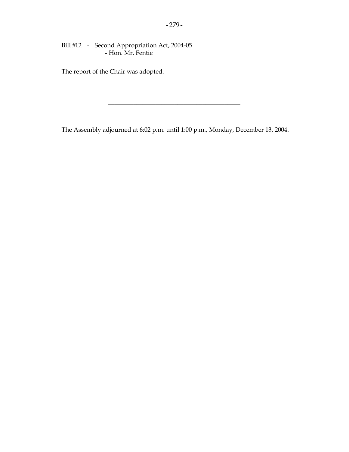Bill #12 - Second Appropriation Act, 2004-05 - Hon. Mr. Fentie

The report of the Chair was adopted.

The Assembly adjourned at 6:02 p.m. until 1:00 p.m., Monday, December 13, 2004.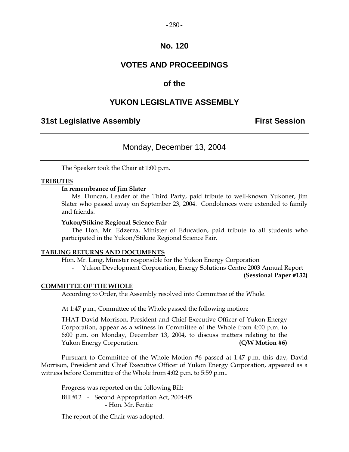## $-280-$

# **No. 120**

# **VOTES AND PROCEEDINGS**

# **of the**

# **YUKON LEGISLATIVE ASSEMBLY**

# **31st Legislative Assembly First Session**

# Monday, December 13, 2004

The Speaker took the Chair at 1:00 p.m.

## **TRIBUTES**

#### **In remembrance of Jim Slater**

 Ms. Duncan, Leader of the Third Party, paid tribute to well-known Yukoner, Jim Slater who passed away on September 23, 2004. Condolences were extended to family and friends.

#### **Yukon/Stikine Regional Science Fair**

 The Hon. Mr. Edzerza, Minister of Education, paid tribute to all students who participated in the Yukon/Stikine Regional Science Fair.

#### **TABLING RETURNS AND DOCUMENTS**

Hon. Mr. Lang, Minister responsible for the Yukon Energy Corporation

- Yukon Development Corporation, Energy Solutions Centre 2003 Annual Report

**(Sessional Paper #132)** 

#### **COMMITTEE OF THE WHOLE**

According to Order, the Assembly resolved into Committee of the Whole.

At 1:47 p.m., Committee of the Whole passed the following motion:

THAT David Morrison, President and Chief Executive Officer of Yukon Energy Corporation, appear as a witness in Committee of the Whole from 4:00 p.m. to 6:00 p.m. on Monday, December 13, 2004, to discuss matters relating to the Yukon Energy Corporation. **(C/W Motion #6)** 

 Pursuant to Committee of the Whole Motion #6 passed at 1:47 p.m. this day, David Morrison, President and Chief Executive Officer of Yukon Energy Corporation, appeared as a witness before Committee of the Whole from 4:02 p.m. to 5:59 p.m..

Progress was reported on the following Bill:

Bill #12 - Second Appropriation Act, 2004-05 - Hon. Mr. Fentie

The report of the Chair was adopted.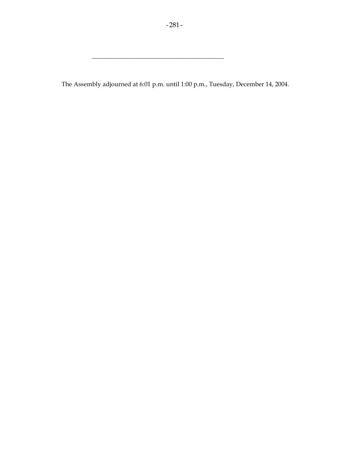The Assembly adjourned at 6:01 p.m. until 1:00 p.m., Tuesday, December 14, 2004.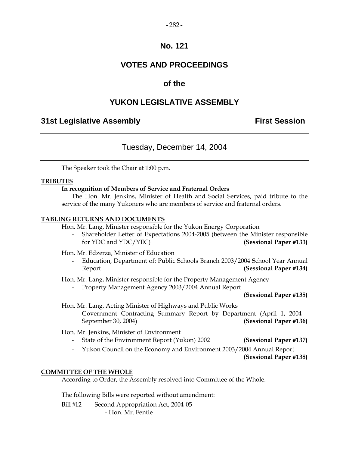## $-282-$

# **No. 121**

# **VOTES AND PROCEEDINGS**

# **of the**

# **YUKON LEGISLATIVE ASSEMBLY**

# **31st Legislative Assembly First Session**

# Tuesday, December 14, 2004

The Speaker took the Chair at 1:00 p.m.

## **TRIBUTES**

## **In recognition of Members of Service and Fraternal Orders**

 The Hon. Mr. Jenkins, Minister of Health and Social Services, paid tribute to the service of the many Yukoners who are members of service and fraternal orders.

## **TABLING RETURNS AND DOCUMENTS**

Hon. Mr. Lang, Minister responsible for the Yukon Energy Corporation

 - Shareholder Letter of Expectations 2004-2005 (between the Minister responsible for YDC and YDC/YEC) **(Sessional Paper #133)** 

Hon. Mr. Edzerza, Minister of Education

 - Education, Department of: Public Schools Branch 2003/2004 School Year Annual Report **(Sessional Paper #134)** 

Hon. Mr. Lang, Minister responsible for the Property Management Agency

- Property Management Agency 2003/2004 Annual Report

**(Sessional Paper #135)** 

Hon. Mr. Lang, Acting Minister of Highways and Public Works

 - Government Contracting Summary Report by Department (April 1, 2004 - September 30, 2004) **(Sessional Paper #136)**

Hon. Mr. Jenkins, Minister of Environment

- State of the Environment Report (Yukon) 2002 **(Sessional Paper #137)**
- Yukon Council on the Economy and Environment 2003/2004 Annual Report

**(Sessional Paper #138)**

## **COMMITTEE OF THE WHOLE**

According to Order, the Assembly resolved into Committee of the Whole.

The following Bills were reported without amendment:

Bill #12 - Second Appropriation Act, 2004-05 - Hon. Mr. Fentie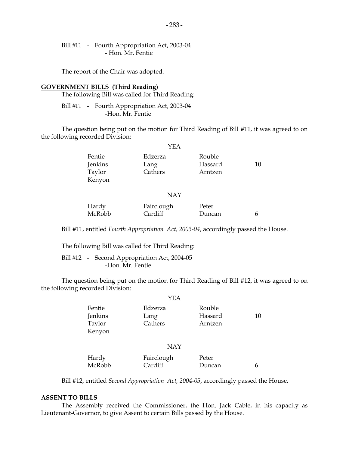Bill #11 - Fourth Appropriation Act, 2003-04 - Hon. Mr. Fentie

The report of the Chair was adopted.

#### **GOVERNMENT BILLS (Third Reading)**

The following Bill was called for Third Reading:

Bill #11 - Fourth Appropriation Act, 2003-04 -Hon. Mr. Fentie

 The question being put on the motion for Third Reading of Bill #11, it was agreed to on the following recorded Division:

|                                       | YEA                        |                              |    |
|---------------------------------------|----------------------------|------------------------------|----|
| Fentie<br>Jenkins<br>Taylor<br>Kenyon | Edzerza<br>Lang<br>Cathers | Rouble<br>Hassard<br>Arntzen | 10 |

## NAY

| Hardy  | Fairclough | Peter  |  |
|--------|------------|--------|--|
| McRobb | Cardiff    | Duncan |  |

Bill #11, entitled *Fourth Appropriation Act, 2003-04*, accordingly passed the House.

The following Bill was called for Third Reading:

Bill #12 - Second Appropriation Act, 2004-05 -Hon. Mr. Fentie

 The question being put on the motion for Third Reading of Bill #12, it was agreed to on the following recorded Division:

|                                       | <b>YEA</b>                 |                              |    |
|---------------------------------------|----------------------------|------------------------------|----|
| Fentie<br>Jenkins<br>Taylor<br>Kenyon | Edzerza<br>Lang<br>Cathers | Rouble<br>Hassard<br>Arntzen | 10 |
|                                       | <b>NAY</b>                 |                              |    |

| Hardy  | Fairclough | Peter  |  |
|--------|------------|--------|--|
| McRobb | Cardiff    | Duncan |  |

Bill #12, entitled *Second Appropriation Act, 2004-05*, accordingly passed the House.

#### **ASSENT TO BILLS**

 The Assembly received the Commissioner, the Hon. Jack Cable, in his capacity as Lieutenant-Governor, to give Assent to certain Bills passed by the House.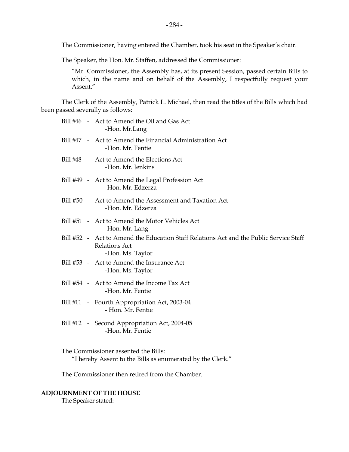The Commissioner, having entered the Chamber, took his seat in the Speaker's chair.

The Speaker, the Hon. Mr. Staffen, addressed the Commissioner:

 "Mr. Commissioner, the Assembly has, at its present Session, passed certain Bills to which, in the name and on behalf of the Assembly, I respectfully request your Assent."

 The Clerk of the Assembly, Patrick L. Michael, then read the titles of the Bills which had been passed severally as follows:

|  | Bill #46 - Act to Amend the Oil and Gas Act<br>-Hon. Mr.Lang                                                                       |
|--|------------------------------------------------------------------------------------------------------------------------------------|
|  | Bill #47 - Act to Amend the Financial Administration Act<br>-Hon. Mr. Fentie                                                       |
|  | Bill #48 - Act to Amend the Elections Act<br>-Hon. Mr. Jenkins                                                                     |
|  | Bill #49 - Act to Amend the Legal Profession Act<br>-Hon. Mr. Edzerza                                                              |
|  | Bill #50 - Act to Amend the Assessment and Taxation Act<br>-Hon. Mr. Edzerza                                                       |
|  | Bill #51 - Act to Amend the Motor Vehicles Act<br>-Hon. Mr. Lang                                                                   |
|  | Bill #52 - Act to Amend the Education Staff Relations Act and the Public Service Staff<br><b>Relations Act</b><br>-Hon. Ms. Taylor |
|  | Bill #53 - Act to Amend the Insurance Act<br>-Hon. Ms. Taylor                                                                      |
|  | Bill #54 - Act to Amend the Income Tax Act<br>-Hon. Mr. Fentie                                                                     |
|  | Bill #11 - Fourth Appropriation Act, 2003-04<br>- Hon. Mr. Fentie                                                                  |
|  | Bill #12 - Second Appropriation Act, 2004-05<br>-Hon. Mr. Fentie                                                                   |
|  |                                                                                                                                    |

 The Commissioner assented the Bills: "I hereby Assent to the Bills as enumerated by the Clerk."

The Commissioner then retired from the Chamber.

## **ADJOURNMENT OF THE HOUSE**

The Speaker stated: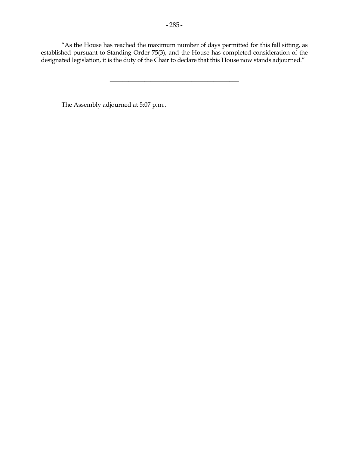"As the House has reached the maximum number of days permitted for this fall sitting, as established pursuant to Standing Order 75(3), and the House has completed consideration of the designated legislation, it is the duty of the Chair to declare that this House now stands adjourned."

\_\_\_\_\_\_\_\_\_\_\_\_\_\_\_\_\_\_\_\_\_\_\_\_\_\_\_\_\_\_\_\_\_\_\_\_\_\_\_\_\_

The Assembly adjourned at 5:07 p.m..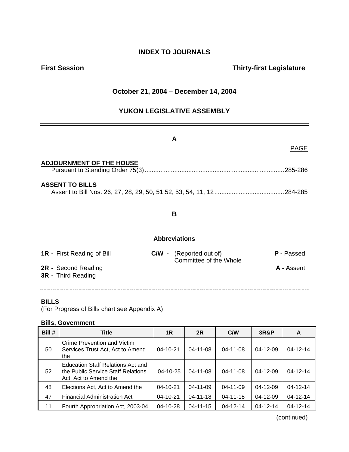# **INDEX TO JOURNALS**

# **First Session Thirty-first Legislature**

# **October 21, 2004 – December 14, 2004**

# **YUKON LEGISLATIVE ASSEMBLY**

|                                                  | A                                                                      |  |  |  |  |  |
|--------------------------------------------------|------------------------------------------------------------------------|--|--|--|--|--|
|                                                  | <b>PAGE</b>                                                            |  |  |  |  |  |
| <b>ADJOURNMENT OF THE HOUSE</b>                  | 285-286                                                                |  |  |  |  |  |
| <b>ASSENT TO BILLS</b>                           |                                                                        |  |  |  |  |  |
| B                                                |                                                                        |  |  |  |  |  |
|                                                  | <b>Abbreviations</b>                                                   |  |  |  |  |  |
| <b>1R</b> - First Reading of Bill                | <b>C/W -</b> (Reported out of)<br>P - Passed<br>Committee of the Whole |  |  |  |  |  |
| 2R - Second Reading<br><b>3R</b> - Third Reading | A - Assent                                                             |  |  |  |  |  |

## **BILLS**

(For Progress of Bills chart see Appendix A)

## **Bills, Government**

| Bill # | <b>Title</b>                                                                                     | 1 <sub>R</sub> | 2R             | C/W            | <b>3R&amp;P</b> | A              |
|--------|--------------------------------------------------------------------------------------------------|----------------|----------------|----------------|-----------------|----------------|
| 50     | Crime Prevention and Victim<br>Services Trust Act, Act to Amend<br>the                           | $04 - 10 - 21$ | $04 - 11 - 08$ | $04 - 11 - 08$ | $04 - 12 - 09$  | $04 - 12 - 14$ |
| 52     | Education Staff Relations Act and<br>the Public Service Staff Relations<br>Act, Act to Amend the | $04 - 10 - 25$ | $04 - 11 - 08$ | 04-11-08       | $04 - 12 - 09$  | $04 - 12 - 14$ |
| 48     | Elections Act, Act to Amend the                                                                  | $04 - 10 - 21$ | 04-11-09       | 04-11-09       | $04 - 12 - 09$  | $04 - 12 - 14$ |
| 47     | <b>Financial Administration Act</b>                                                              | $04 - 10 - 21$ | $04 - 11 - 18$ | $04 - 11 - 18$ | $04 - 12 - 09$  | $04 - 12 - 14$ |
| 11     | Fourth Appropriation Act, 2003-04                                                                | $04 - 10 - 28$ | $04 - 11 - 15$ | $04 - 12 - 14$ | $04 - 12 - 14$  | $04 - 12 - 14$ |

(continued)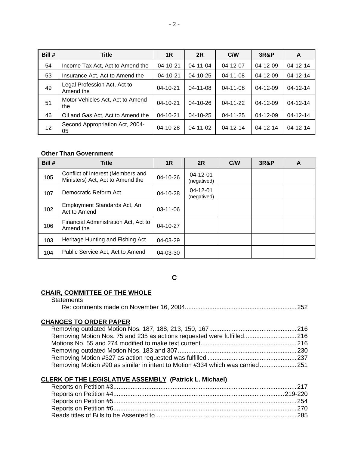| Bill # | <b>Title</b>                              | 1R             | 2R             | C/W            | <b>3R&amp;P</b> | A              |
|--------|-------------------------------------------|----------------|----------------|----------------|-----------------|----------------|
| 54     | Income Tax Act, Act to Amend the          | 04-10-21       | 04-11-04       | 04-12-07       | $04 - 12 - 09$  | 04-12-14       |
| 53     | Insurance Act, Act to Amend the           | 04-10-21       | $04 - 10 - 25$ | $04 - 11 - 08$ | $04 - 12 - 09$  | 04-12-14       |
| 49     | Legal Profession Act, Act to<br>Amend the | 04-10-21       | $04 - 11 - 08$ | $04 - 11 - 08$ | $04 - 12 - 09$  | $04 - 12 - 14$ |
| 51     | Motor Vehicles Act, Act to Amend<br>the   | $04 - 10 - 21$ | $04 - 10 - 26$ | $04 - 11 - 22$ | $04 - 12 - 09$  | $04 - 12 - 14$ |
| 46     | Oil and Gas Act, Act to Amend the         | 04-10-21       | 04-10-25       | 04-11-25       | $04 - 12 - 09$  | 04-12-14       |
| 12     | Second Appropriation Act, 2004-<br>05     | $04 - 10 - 28$ | $04 - 11 - 02$ | $04 - 12 - 14$ | $04 - 12 - 14$  | $04 - 12 - 14$ |

#### **Other Than Government**

| Bill # | <b>Title</b>                                                          | 1R             | 2R                            | C/W | <b>3R&amp;P</b> | A |
|--------|-----------------------------------------------------------------------|----------------|-------------------------------|-----|-----------------|---|
| 105    | Conflict of Interest (Members and<br>Ministers) Act, Act to Amend the | $04 - 10 - 26$ | $04 - 12 - 01$<br>(negatived) |     |                 |   |
| 107    | Democratic Reform Act                                                 | 04-10-28       | $04 - 12 - 01$<br>(negatived) |     |                 |   |
| 102    | Employment Standards Act, An<br>Act to Amend                          | $03-11-06$     |                               |     |                 |   |
| 106    | Financial Administration Act, Act to<br>Amend the                     | $04 - 10 - 27$ |                               |     |                 |   |
| 103    | Heritage Hunting and Fishing Act                                      | $04 - 03 - 29$ |                               |     |                 |   |
| 104    | Public Service Act, Act to Amend                                      | 04-03-30       |                               |     |                 |   |

**C** 

#### **CHAIR, COMMITTEE OF THE WHOLE**

| <b>Statements</b>                                                             |  |
|-------------------------------------------------------------------------------|--|
|                                                                               |  |
| <b>CHANGES TO ORDER PAPER</b>                                                 |  |
|                                                                               |  |
| Removing Motion Nos. 75 and 235 as actions requested were fulfilled 216       |  |
|                                                                               |  |
|                                                                               |  |
|                                                                               |  |
| Removing Motion #90 as similar in intent to Motion #334 which was carried 251 |  |

## **CLERK OF THE LEGISLATIVE ASSEMBLY (Patrick L. Michael)**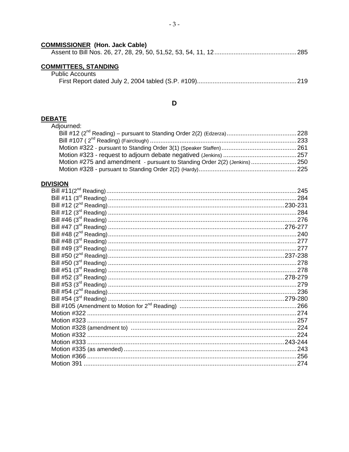### **COMMISSIONER** (Hon. Jack Cable)

|--|--|--|--|--|--|--|--|--|--|--|

# **COMMITTEES, STANDING**<br>Public Accounts

| JDIIC ACCOUNTS |  |
|----------------|--|
|                |  |

#### $\mathbf D$

DEBATE<br>Adjourned:

| Motion #275 and amendment - pursuant to Standing Order 2(2) (Jenkins) 250 |  |
|---------------------------------------------------------------------------|--|
|                                                                           |  |

### **DIVISION**

| 245 |
|-----|
|     |
|     |
|     |
|     |
|     |
|     |
|     |
|     |
|     |
|     |
|     |
|     |
|     |
|     |
|     |
|     |
|     |
|     |
|     |
|     |
|     |
|     |
|     |
|     |
|     |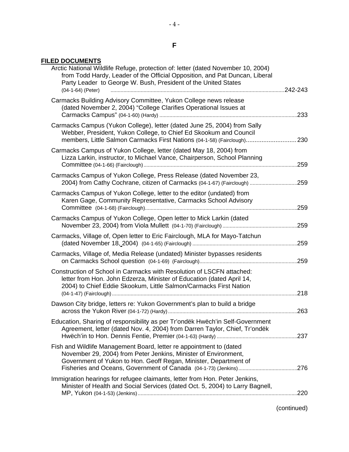#### **F**

### **FILED DOCUMENTS**

| Arctic National Wildlife Refuge, protection of: letter (dated November 10, 2004)<br>from Todd Hardy, Leader of the Official Opposition, and Pat Duncan, Liberal<br>Party Leader to George W. Bush, President of the United States |          |
|-----------------------------------------------------------------------------------------------------------------------------------------------------------------------------------------------------------------------------------|----------|
| (04-1-64) (Peter)                                                                                                                                                                                                                 | .242-243 |
| Carmacks Building Advisory Committee, Yukon College news release<br>(dated November 2, 2004) "College Clarifies Operational Issues at                                                                                             |          |
| Carmacks Campus (Yukon College), letter (dated June 25, 2004) from Sally<br>Webber, President, Yukon College, to Chief Ed Skookum and Council<br>members, Little Salmon Carmacks First Nations (04-1-58) (Fairclough)             | 230      |
| Carmacks Campus of Yukon College, letter (dated May 18, 2004) from<br>Lizza Larkin, instructor, to Michael Vance, Chairperson, School Planning                                                                                    | .259     |
| Carmacks Campus of Yukon College, Press Release (dated November 23,<br>2004) from Cathy Cochrane, citizen of Carmacks (04-1-67) (Fairclough) 259                                                                                  |          |
| Carmacks Campus of Yukon College, letter to the editor (undated) from<br>Karen Gage, Community Representative, Carmacks School Advisory                                                                                           | .259     |
| Carmacks Campus of Yukon College, Open letter to Mick Larkin (dated                                                                                                                                                               |          |
| Carmacks, Village of, Open letter to Eric Fairclough, MLA for Mayo-Tatchun                                                                                                                                                        |          |
| Carmacks, Village of, Media Release (undated) Minister bypasses residents                                                                                                                                                         |          |
| Construction of School in Carmacks with Resolution of LSCFN attached:<br>letter from Hon. John Edzerza, Minister of Education (dated April 14,<br>2004) to Chief Eddie Skookum, Little Salmon/Carmacks First Nation               | .218     |
| Dawson City bridge, letters re: Yukon Government's plan to build a bridge                                                                                                                                                         | .263     |
| Education, Sharing of responsibility as per Tr'ondëk Hwëch'in Self-Government<br>Agreement, letter (dated Nov. 4, 2004) from Darren Taylor, Chief, Tr'ondëk                                                                       |          |
| Fish and Wildlife Management Board, letter re appointment to (dated<br>November 29, 2004) from Peter Jenkins, Minister of Environment,<br>Government of Yukon to Hon. Geoff Regan, Minister, Department of                        |          |
| Immigration hearings for refugee claimants, letter from Hon. Peter Jenkins,<br>Minister of Health and Social Services (dated Oct. 5, 2004) to Larry Bagnell,                                                                      |          |
|                                                                                                                                                                                                                                   |          |

(continued)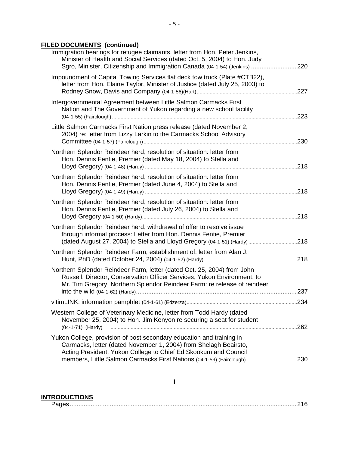# **FILED DOCUMENTS (continued)**

| Immigration hearings for refugee claimants, letter from Hon. Peter Jenkins,<br>Minister of Health and Social Services (dated Oct. 5, 2004) to Hon. Judy<br>Sgro, Minister, Citizenship and Immigration Canada (04-1-54) (Jenkins) 220 |  |
|---------------------------------------------------------------------------------------------------------------------------------------------------------------------------------------------------------------------------------------|--|
| Impoundment of Capital Towing Services flat deck tow truck (Plate #CTB22),<br>letter from Hon. Elaine Taylor, Minister of Justice (dated July 25, 2003) to                                                                            |  |
| Intergovernmental Agreement between Little Salmon Carmacks First<br>Nation and The Government of Yukon regarding a new school facility                                                                                                |  |
| Little Salmon Carmacks First Nation press release (dated November 2,<br>2004) re: letter from Lizzy Larkin to the Carmacks School Advisory                                                                                            |  |
| Northern Splendor Reindeer herd, resolution of situation: letter from<br>Hon. Dennis Fentie, Premier (dated May 18, 2004) to Stella and                                                                                               |  |
| Northern Splendor Reindeer herd, resolution of situation: letter from<br>Hon. Dennis Fentie, Premier (dated June 4, 2004) to Stella and                                                                                               |  |
| Northern Splendor Reindeer herd, resolution of situation: letter from<br>Hon. Dennis Fentie, Premier (dated July 26, 2004) to Stella and                                                                                              |  |
| Northern Splendor Reindeer herd, withdrawal of offer to resolve issue<br>through informal process: Letter from Hon. Dennis Fentie, Premier<br>(dated August 27, 2004) to Stella and Lloyd Gregory (04-1-51) (Hardy)218                |  |
| Northern Splendor Reindeer Farm, establishment of: letter from Alan J.                                                                                                                                                                |  |
| Northern Splendor Reindeer Farm, letter (dated Oct. 25, 2004) from John<br>Russell, Director, Conservation Officer Services, Yukon Environment, to<br>Mr. Tim Gregory, Northern Splendor Reindeer Farm: re release of reindeer        |  |
|                                                                                                                                                                                                                                       |  |
| Western College of Veterinary Medicine, letter from Todd Hardy (dated<br>November 25, 2004) to Hon. Jim Kenyon re securing a seat for student<br>(04-1-71) (Hardy)                                                                    |  |
| Yukon College, provision of post secondary education and training in<br>Carmacks, letter (dated November 1, 2004) from Shelagh Beairsto,<br>Acting President, Yukon College to Chief Ed Skookum and Council                           |  |
|                                                                                                                                                                                                                                       |  |

### **INTRODUCTIONS**

|  | ∨ا کا ۱کان استین استین استین استین استین استین استین استین استین استین استین استین استین استین استین اس این |
|--|-------------------------------------------------------------------------------------------------------------|
|--|-------------------------------------------------------------------------------------------------------------|

**I**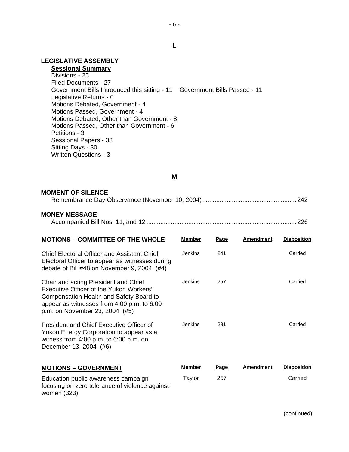#### **LEGISLATIVE ASSEMBLY**

**Sessional Summary** Divisions - 25 Filed Documents - 27 Government Bills Introduced this sitting - 11 Government Bills Passed - 11 Legislative Returns - 0 Motions Debated, Government - 4 Motions Passed, Government - 4 Motions Debated, Other than Government - 8 Motions Passed, Other than Government - 6 Petitions - 3 Sessional Papers - 33 Sitting Days - 30 Written Questions - 3

#### **M**

#### **MOMENT OF SILENCE**

|--|--|--|

#### **MONEY MESSAGE**

|--|--|--|

| <b>MOTIONS - COMMITTEE OF THE WHOLE</b>                                                                                                                                                                    | <b>Member</b>  | Page        | <b>Amendment</b> | <b>Disposition</b> |
|------------------------------------------------------------------------------------------------------------------------------------------------------------------------------------------------------------|----------------|-------------|------------------|--------------------|
| <b>Chief Electoral Officer and Assistant Chief</b><br>Electoral Officer to appear as witnesses during<br>debate of Bill #48 on November 9, 2004 (#4)                                                       | Jenkins        | 241         |                  | Carried            |
| Chair and acting President and Chief<br>Executive Officer of the Yukon Workers'<br>Compensation Health and Safety Board to<br>appear as witnesses from 4:00 p.m. to 6:00<br>p.m. on November 23, 2004 (#5) | Jenkins        | 257         |                  | Carried            |
| President and Chief Executive Officer of<br>Yukon Energy Corporation to appear as a<br>witness from $4:00$ p.m. to $6:00$ p.m. on<br>December 13, 2004 (#6)                                                | <b>Jenkins</b> | 281         |                  | Carried            |
| <b>MOTIONS - GOVERNMENT</b>                                                                                                                                                                                | Member         | <b>Page</b> | <b>Amendment</b> | <b>Disposition</b> |
| Education public awareness campaign<br>focusing on zero tolerance of violence against<br>women (323)                                                                                                       | Taylor         | 257         |                  | Carried            |

 $-6-$ 

**L**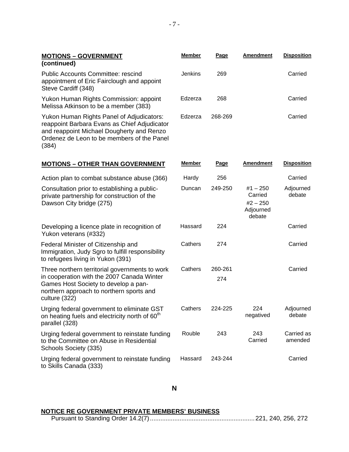| <b>MOTIONS - GOVERNMENT</b><br>(continued)                                                                                                                                                        | <b>Member</b>  | Page           | <b>Amendment</b>                                           | <b>Disposition</b>    |
|---------------------------------------------------------------------------------------------------------------------------------------------------------------------------------------------------|----------------|----------------|------------------------------------------------------------|-----------------------|
| <b>Public Accounts Committee: rescind</b><br>appointment of Eric Fairclough and appoint<br>Steve Cardiff (348)                                                                                    | <b>Jenkins</b> | 269            |                                                            | Carried               |
| Yukon Human Rights Commission: appoint<br>Melissa Atkinson to be a member (383)                                                                                                                   | Edzerza        | 268            |                                                            | Carried               |
| Yukon Human Rights Panel of Adjudicators:<br>reappoint Barbara Evans as Chief Adjudicator<br>and reappoint Michael Dougherty and Renzo<br>Ordenez de Leon to be members of the Panel<br>(384)     | Edzerza        | 268-269        |                                                            | Carried               |
| <b>MOTIONS - OTHER THAN GOVERNMENT</b>                                                                                                                                                            | <b>Member</b>  | <b>Page</b>    | <b>Amendment</b>                                           | <b>Disposition</b>    |
| Action plan to combat substance abuse (366)                                                                                                                                                       | Hardy          | 256            |                                                            | Carried               |
| Consultation prior to establishing a public-<br>private partnership for construction of the<br>Dawson City bridge (275)                                                                           | Duncan         | 249-250        | $#1 - 250$<br>Carried<br>$#2 - 250$<br>Adjourned<br>debate | Adjourned<br>debate   |
| Developing a licence plate in recognition of<br>Yukon veterans (#332)                                                                                                                             | Hassard        | 224            |                                                            | Carried               |
| Federal Minister of Citizenship and<br>Immigration, Judy Sgro to fulfill responsibility<br>to refugees living in Yukon (391)                                                                      | Cathers        | 274            |                                                            | Carried               |
| Three northern territorial governments to work<br>in cooperation with the 2007 Canada Winter<br>Games Host Society to develop a pan-<br>northern approach to northern sports and<br>culture (322) | Cathers        | 260-261<br>274 |                                                            | Carried               |
| Urging federal government to eliminate GST<br>on heating fuels and electricity north of 60 <sup>th</sup><br>parallel (328)                                                                        | Cathers        | 224-225        | 224<br>negatived                                           | Adjourned<br>debate   |
| Urging federal government to reinstate funding<br>to the Committee on Abuse in Residential<br>Schools Society (335)                                                                               | Rouble         | 243            | 243<br>Carried                                             | Carried as<br>amended |
| Urging federal government to reinstate funding<br>to Skills Canada (333)                                                                                                                          | Hassard        | 243-244        |                                                            | Carried               |

#### **N**

#### **NOTICE RE GOVERNMENT PRIVATE MEMBERS' BUSINESS**

Pursuant to Standing Order 14.2(7)............................................................221, 240, 256, 272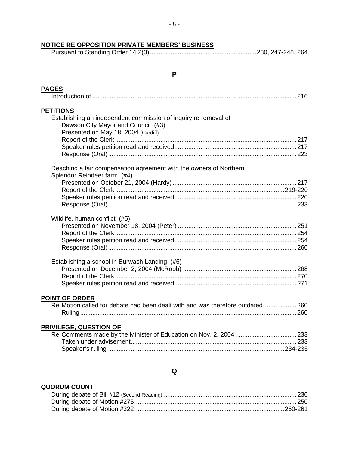### **NOTICE RE OPPOSITION PRIVATE MEMBERS' BUSINESS**

|--|--|

### **P**

|  | N |  |  |
|--|---|--|--|
|  |   |  |  |

| <b>PETITIONS</b>                                                                                      |  |
|-------------------------------------------------------------------------------------------------------|--|
| Establishing an independent commission of inquiry re removal of<br>Dawson City Mayor and Council (#3) |  |
| Presented on May 18, 2004 (Cardiff)                                                                   |  |
|                                                                                                       |  |
|                                                                                                       |  |
| Reaching a fair compensation agreement with the owners of Northern<br>Splendor Reindeer farm (#4)     |  |
|                                                                                                       |  |
|                                                                                                       |  |
|                                                                                                       |  |
|                                                                                                       |  |
| Wildlife, human conflict (#5)                                                                         |  |
|                                                                                                       |  |
|                                                                                                       |  |
|                                                                                                       |  |
|                                                                                                       |  |
| Establishing a school in Burwash Landing (#6)                                                         |  |
|                                                                                                       |  |
|                                                                                                       |  |
|                                                                                                       |  |
| <b>POINT OF ORDER</b>                                                                                 |  |
| Re: Motion called for debate had been dealt with and was therefore outdated 260                       |  |
|                                                                                                       |  |
| <b>PRIVILEGE, QUESTION OF</b>                                                                         |  |
|                                                                                                       |  |
|                                                                                                       |  |
|                                                                                                       |  |
|                                                                                                       |  |
|                                                                                                       |  |

#### **Q**

### **QUORUM COUNT**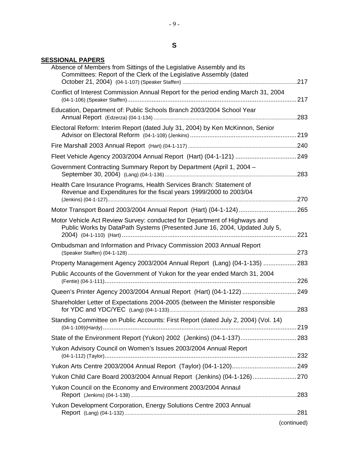#### **SESSIONAL PAPERS**

| Absence of Members from Sittings of the Legislative Assembly and its<br>Committees: Report of the Clerk of the Legislative Assembly (dated              |             |
|---------------------------------------------------------------------------------------------------------------------------------------------------------|-------------|
| Conflict of Interest Commission Annual Report for the period ending March 31, 2004                                                                      |             |
| Education, Department of: Public Schools Branch 2003/2004 School Year                                                                                   |             |
| Electoral Reform: Interim Report (dated July 31, 2004) by Ken McKinnon, Senior                                                                          |             |
|                                                                                                                                                         |             |
|                                                                                                                                                         |             |
| Government Contracting Summary Report by Department (April 1, 2004 -                                                                                    |             |
| Health Care Insurance Programs, Health Services Branch: Statement of<br>Revenue and Expenditures for the fiscal years 1999/2000 to 2003/04              |             |
| Motor Transport Board 2003/2004 Annual Report (Hart) (04-1-124) 265                                                                                     |             |
| Motor Vehicle Act Review Survey: conducted for Department of Highways and<br>Public Works by DataPath Systems (Presented June 16, 2004, Updated July 5, |             |
| Ombudsman and Information and Privacy Commission 2003 Annual Report                                                                                     |             |
| Property Management Agency 2003/2004 Annual Report (Lang) (04-1-135)  283                                                                               |             |
| Public Accounts of the Government of Yukon for the year ended March 31, 2004                                                                            |             |
| Queen's Printer Agency 2003/2004 Annual Report (Hart) (04-1-122)  249                                                                                   |             |
| Shareholder Letter of Expectations 2004-2005 (between the Minister responsible                                                                          |             |
| Standing Committee on Public Accounts: First Report (dated July 2, 2004) (Vol. 14)                                                                      |             |
| State of the Environment Report (Yukon) 2002 (Jenkins) (04-1-137) 283                                                                                   |             |
| Yukon Advisory Council on Women's Issues 2003/2004 Annual Report                                                                                        |             |
|                                                                                                                                                         |             |
| Yukon Child Care Board 2003/2004 Annual Report (Jenkins) (04-1-126)  270                                                                                |             |
| Yukon Council on the Economy and Environment 2003/2004 Annaul                                                                                           |             |
| Yukon Development Corporation, Energy Solutions Centre 2003 Annual                                                                                      |             |
|                                                                                                                                                         |             |
|                                                                                                                                                         | (continued) |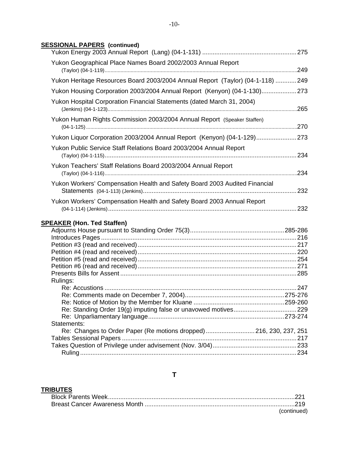### **SESSIONAL PAPERS (continued)**

| Yukon Geographical Place Names Board 2002/2003 Annual Report                   |  |
|--------------------------------------------------------------------------------|--|
| Yukon Heritage Resources Board 2003/2004 Annual Report (Taylor) (04-1-118) 249 |  |
| Yukon Housing Corporation 2003/2004 Annual Report (Kenyon) (04-1-130)273       |  |
| Yukon Hospital Corporation Financial Statements (dated March 31, 2004)         |  |
| Yukon Human Rights Commission 2003/2004 Annual Report (Speaker Staffen)        |  |
| Yukon Liquor Corporation 2003/2004 Annual Report (Kenyon) (04-1-129)273        |  |
| Yukon Public Service Staff Relations Board 2003/2004 Annual Report             |  |
| Yukon Teachers' Staff Relations Board 2003/2004 Annual Report                  |  |
| Yukon Workers' Compensation Health and Safety Board 2003 Audited Financial     |  |
| Yukon Workers' Compensation Health and Safety Board 2003 Annual Report         |  |
| <b>SPEAKER (Hon. Ted Staffen)</b>                                              |  |
|                                                                                |  |
|                                                                                |  |
|                                                                                |  |
|                                                                                |  |
|                                                                                |  |
|                                                                                |  |
| Rulings:                                                                       |  |

| Rulings:                                                           |  |
|--------------------------------------------------------------------|--|
|                                                                    |  |
|                                                                    |  |
|                                                                    |  |
|                                                                    |  |
|                                                                    |  |
| Statements:                                                        |  |
| Re: Changes to Order Paper (Re motions dropped) 216, 230, 237, 251 |  |
|                                                                    |  |
|                                                                    |  |
|                                                                    |  |
|                                                                    |  |

# **T**

### **TRIBUTES**

|  | (continued) |
|--|-------------|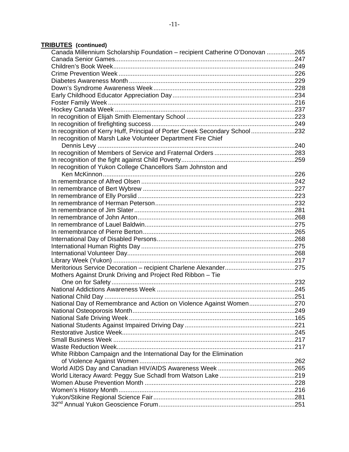### **TRIBUTES (continued)**

| Canada Millennium Scholarship Foundation - recipient Catherine O'Donovan 265 |  |
|------------------------------------------------------------------------------|--|
|                                                                              |  |
|                                                                              |  |
|                                                                              |  |
|                                                                              |  |
|                                                                              |  |
|                                                                              |  |
|                                                                              |  |
|                                                                              |  |
|                                                                              |  |
|                                                                              |  |
| In recognition of Kerry Huff, Principal of Porter Creek Secondary School232  |  |
| In recognition of Marsh Lake Volunteer Department Fire Chief                 |  |
|                                                                              |  |
|                                                                              |  |
|                                                                              |  |
| In recognition of Yukon College Chancellors Sam Johnston and                 |  |
|                                                                              |  |
|                                                                              |  |
|                                                                              |  |
|                                                                              |  |
|                                                                              |  |
|                                                                              |  |
|                                                                              |  |
|                                                                              |  |
|                                                                              |  |
|                                                                              |  |
|                                                                              |  |
|                                                                              |  |
|                                                                              |  |
|                                                                              |  |
| Mothers Against Drunk Driving and Project Red Ribbon - Tie                   |  |
|                                                                              |  |
|                                                                              |  |
|                                                                              |  |
| National Day of Remembrance and Action on Violence Against Women270          |  |
|                                                                              |  |
|                                                                              |  |
|                                                                              |  |
|                                                                              |  |
|                                                                              |  |
|                                                                              |  |
| White Ribbon Campaign and the International Day for the Elimination          |  |
|                                                                              |  |
|                                                                              |  |
|                                                                              |  |
|                                                                              |  |
|                                                                              |  |
|                                                                              |  |
|                                                                              |  |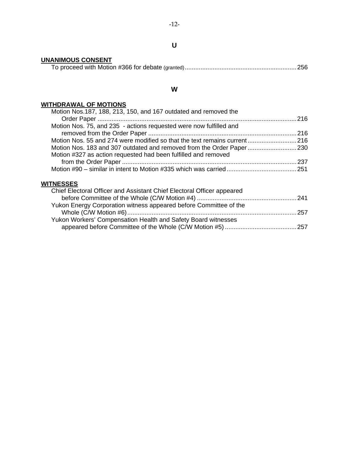#### **U**

# **UNANIMOUS CONSENT**

#### **W**

#### **WITHDRAWAL OF MOTIONS**

| Motion Nos. 187, 188, 213, 150, and 167 outdated and removed the          |  |
|---------------------------------------------------------------------------|--|
|                                                                           |  |
| Motion Nos. 75, and 235 - actions requested were now fulfilled and        |  |
|                                                                           |  |
| Motion Nos. 55 and 274 were modified so that the text remains current 216 |  |
|                                                                           |  |
| Motion #327 as action requested had been fulfilled and removed            |  |
|                                                                           |  |
|                                                                           |  |

### **WITNESSES**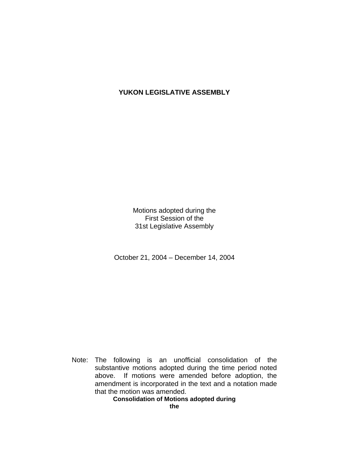### **YUKON LEGISLATIVE ASSEMBLY**

Motions adopted during the First Session of the 31st Legislative Assembly

October 21, 2004 – December 14, 2004

 Note: The following is an unofficial consolidation of the substantive motions adopted during the time period noted above. If motions were amended before adoption, the amendment is incorporated in the text and a notation made that the motion was amended.

**Consolidation of Motions adopted during**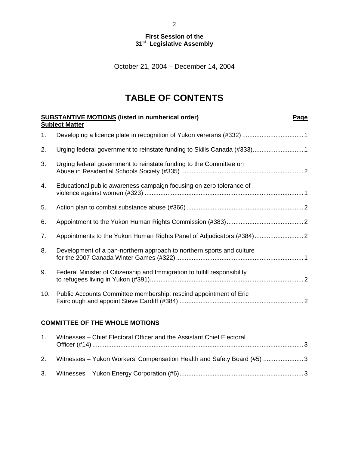#### **First Session of the 31st Legislative Assembly**

October 21, 2004 – December 14, 2004

# **TABLE OF CONTENTS**

|     | <b>SUBSTANTIVE MOTIONS</b> (listed in numberical order)<br><u>Page</u><br><b>Subject Matter</b> |
|-----|-------------------------------------------------------------------------------------------------|
| 1.  |                                                                                                 |
| 2.  | Urging federal government to reinstate funding to Skills Canada (#333)1                         |
| 3.  | Urging federal government to reinstate funding to the Committee on                              |
| 4.  | Educational public awareness campaign focusing on zero tolerance of                             |
| 5.  |                                                                                                 |
| 6.  |                                                                                                 |
| 7.  |                                                                                                 |
| 8.  | Development of a pan-northern approach to northern sports and culture                           |
| 9.  | Federal Minister of Citizenship and Immigration to fulfill responsibility                       |
| 10. | Public Accounts Committee membership: rescind appointment of Eric                               |
|     |                                                                                                 |

#### **COMMITTEE OF THE WHOLE MOTIONS**

| $1_{-}$ | Witnesses – Chief Electoral Officer and the Assistant Chief Electoral     |  |
|---------|---------------------------------------------------------------------------|--|
|         | 2. Witnesses – Yukon Workers' Compensation Health and Safety Board (#5) 3 |  |
|         |                                                                           |  |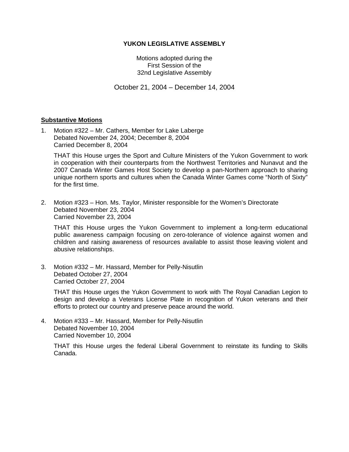#### **YUKON LEGISLATIVE ASSEMBLY**

Motions adopted during the First Session of the 32nd Legislative Assembly

October 21, 2004 – December 14, 2004

#### **Substantive Motions**

1. Motion #322 – Mr. Cathers, Member for Lake Laberge Debated November 24, 2004; December 8, 2004 Carried December 8, 2004

 THAT this House urges the Sport and Culture Ministers of the Yukon Government to work in cooperation with their counterparts from the Northwest Territories and Nunavut and the 2007 Canada Winter Games Host Society to develop a pan-Northern approach to sharing unique northern sports and cultures when the Canada Winter Games come "North of Sixty" for the first time.

2. Motion #323 – Hon. Ms. Taylor, Minister responsible for the Women's Directorate Debated November 23, 2004 Carried November 23, 2004

 THAT this House urges the Yukon Government to implement a long-term educational public awareness campaign focusing on zero-tolerance of violence against women and children and raising awareness of resources available to assist those leaving violent and abusive relationships.

3. Motion #332 – Mr. Hassard, Member for Pelly-Nisutlin Debated October 27, 2004 Carried October 27, 2004

 THAT this House urges the Yukon Government to work with The Royal Canadian Legion to design and develop a Veterans License Plate in recognition of Yukon veterans and their efforts to protect our country and preserve peace around the world.

4. Motion #333 – Mr. Hassard, Member for Pelly-Nisutlin Debated November 10, 2004 Carried November 10, 2004

 THAT this House urges the federal Liberal Government to reinstate its funding to Skills Canada.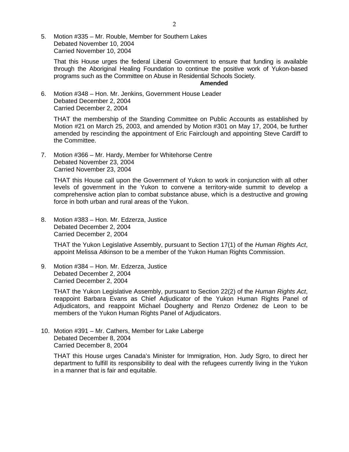5. Motion #335 – Mr. Rouble, Member for Southern Lakes Debated November 10, 2004 Carried November 10, 2004

 That this House urges the federal Liberal Government to ensure that funding is available through the Aboriginal Healing Foundation to continue the positive work of Yukon-based programs such as the Committee on Abuse in Residential Schools Society.

#### **Amended**

6. Motion #348 – Hon. Mr. Jenkins, Government House Leader Debated December 2, 2004 Carried December 2, 2004

 THAT the membership of the Standing Committee on Public Accounts as established by Motion #21 on March 25, 2003, and amended by Motion #301 on May 17, 2004, be further amended by rescinding the appointment of Eric Fairclough and appointing Steve Cardiff to the Committee.

7. Motion #366 – Mr. Hardy, Member for Whitehorse Centre Debated November 23, 2004 Carried November 23, 2004

 THAT this House call upon the Government of Yukon to work in conjunction with all other levels of government in the Yukon to convene a territory-wide summit to develop a comprehensive action plan to combat substance abuse, which is a destructive and growing force in both urban and rural areas of the Yukon.

8. Motion #383 – Hon. Mr. Edzerza, Justice Debated December 2, 2004 Carried December 2, 2004

 THAT the Yukon Legislative Assembly, pursuant to Section 17(1) of the *Human Rights Act*, appoint Melissa Atkinson to be a member of the Yukon Human Rights Commission.

9. Motion #384 – Hon. Mr. Edzerza, Justice Debated December 2, 2004 Carried December 2, 2004

 THAT the Yukon Legislative Assembly, pursuant to Section 22(2) of the *Human Rights Act*, reappoint Barbara Evans as Chief Adjudicator of the Yukon Human Rights Panel of Adjudicators, and reappoint Michael Dougherty and Renzo Ordenez de Leon to be members of the Yukon Human Rights Panel of Adjudicators.

10. Motion #391 – Mr. Cathers, Member for Lake Laberge Debated December 8, 2004 Carried December 8, 2004

 THAT this House urges Canada's Minister for Immigration, Hon. Judy Sgro, to direct her department to fulfill its responsibility to deal with the refugees currently living in the Yukon in a manner that is fair and equitable.